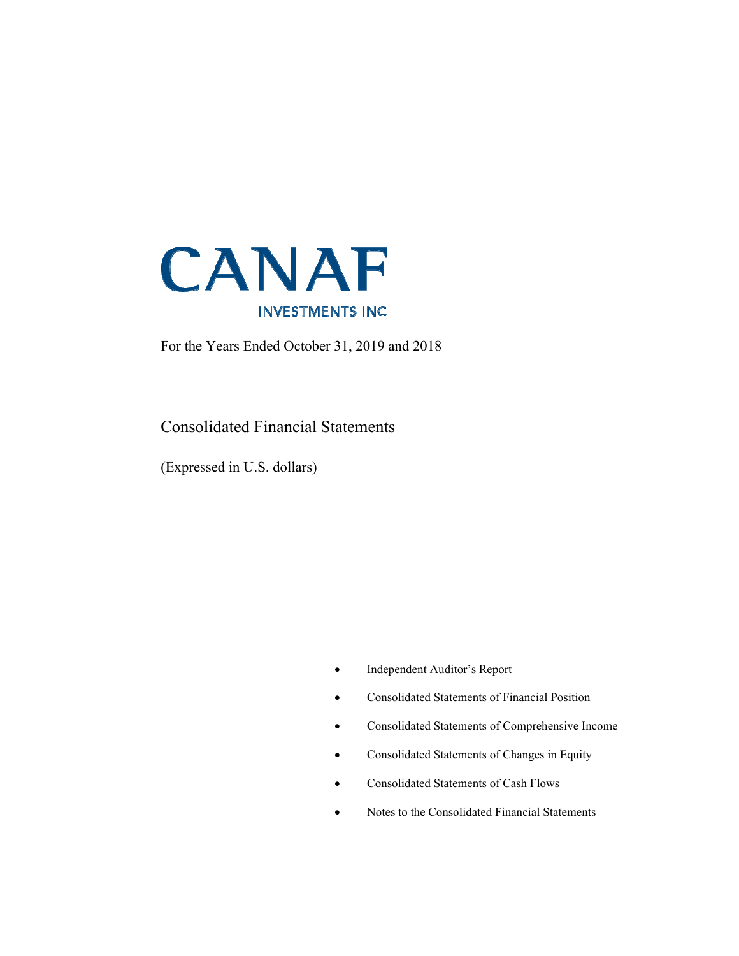

For the Years Ended October 31, 2019 and 2018

Consolidated Financial Statements

(Expressed in U.S. dollars)

- Independent Auditor's Report
- Consolidated Statements of Financial Position
- Consolidated Statements of Comprehensive Income
- Consolidated Statements of Changes in Equity
- Consolidated Statements of Cash Flows
- Notes to the Consolidated Financial Statements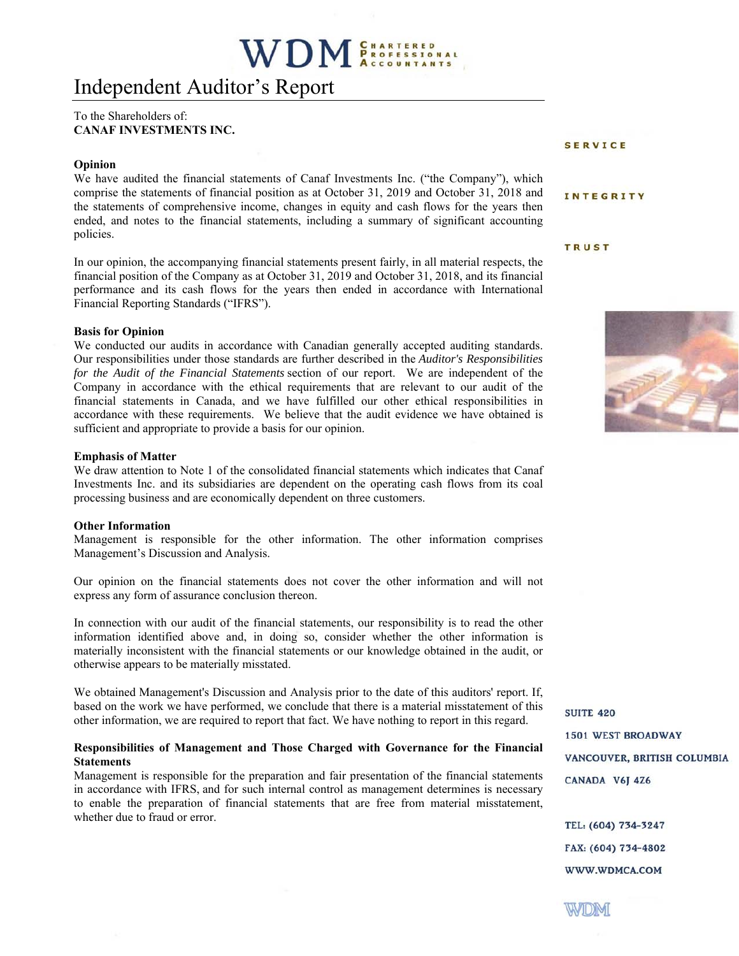# Independent Auditor's Report

#### To the Shareholders of: **CANAF INVESTMENTS INC.**

#### **Opinion**

We have audited the financial statements of Canaf Investments Inc. ("the Company"), which comprise the statements of financial position as at October 31, 2019 and October 31, 2018 and the statements of comprehensive income, changes in equity and cash flows for the years then ended, and notes to the financial statements, including a summary of significant accounting policies.

In our opinion, the accompanying financial statements present fairly, in all material respects, the financial position of the Company as at October 31, 2019 and October 31, 2018, and its financial performance and its cash flows for the years then ended in accordance with International Financial Reporting Standards ("IFRS").

#### **Basis for Opinion**

We conducted our audits in accordance with Canadian generally accepted auditing standards. Our responsibilities under those standards are further described in the *Auditor's Responsibilities for the Audit of the Financial Statements* section of our report. We are independent of the Company in accordance with the ethical requirements that are relevant to our audit of the financial statements in Canada, and we have fulfilled our other ethical responsibilities in accordance with these requirements. We believe that the audit evidence we have obtained is sufficient and appropriate to provide a basis for our opinion.

#### **Emphasis of Matter**

We draw attention to Note 1 of the consolidated financial statements which indicates that Canaf Investments Inc. and its subsidiaries are dependent on the operating cash flows from its coal processing business and are economically dependent on three customers.

#### **Other Information**

Management is responsible for the other information. The other information comprises Management's Discussion and Analysis.

Our opinion on the financial statements does not cover the other information and will not express any form of assurance conclusion thereon.

In connection with our audit of the financial statements, our responsibility is to read the other information identified above and, in doing so, consider whether the other information is materially inconsistent with the financial statements or our knowledge obtained in the audit, or otherwise appears to be materially misstated.

We obtained Management's Discussion and Analysis prior to the date of this auditors' report. If, based on the work we have performed, we conclude that there is a material misstatement of this other information, we are required to report that fact. We have nothing to report in this regard.

#### **Responsibilities of Management and Those Charged with Governance for the Financial Statements**

Management is responsible for the preparation and fair presentation of the financial statements in accordance with IFRS, and for such internal control as management determines is necessary to enable the preparation of financial statements that are free from material misstatement, whether due to fraud or error.

**SERVICE** 

#### **INTEGRITY**

#### **TRUST**



**SUITE 420 1501 WEST BROADWAY** VANCOUVER, BRITISH COLUMBIA CANADA V6J 4Z6

TEL: (604) 734-3247 FAX: (604) 734-4802 WWW.WDMCA.COM

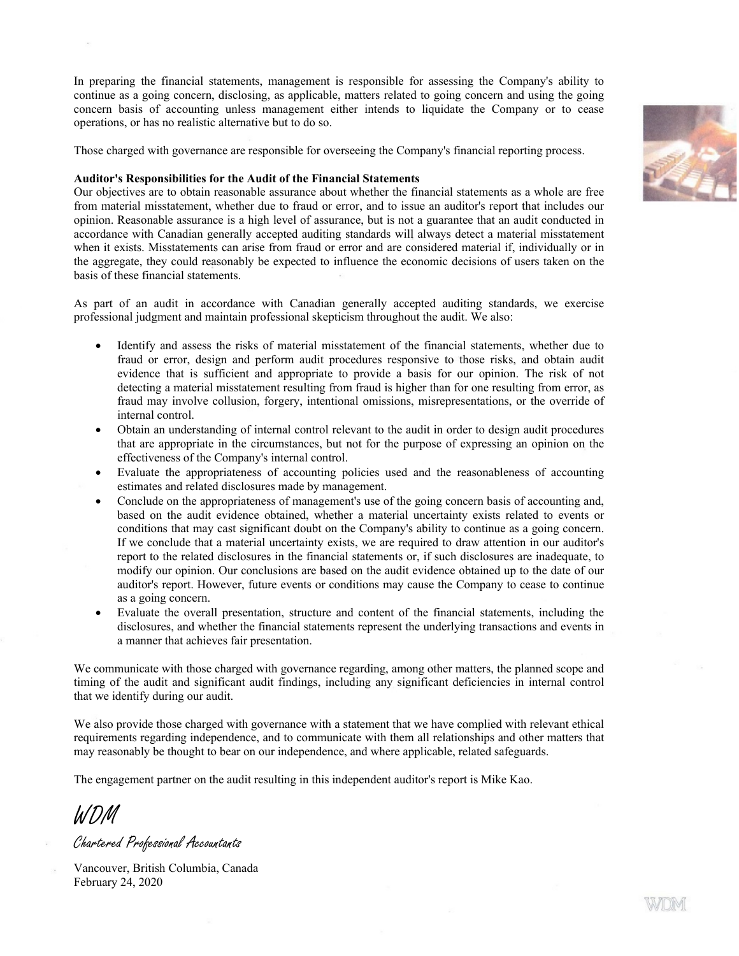In preparing the financial statements, management is responsible for assessing the Company's ability to continue as a going concern, disclosing, as applicable, matters related to going concern and using the going concern basis of accounting unless management either intends to liquidate the Company or to cease operations, or has no realistic alternative but to do so.

Those charged with governance are responsible for overseeing the Company's financial reporting process.

#### **Auditor's Responsibilities for the Audit of the Financial Statements**

Our objectives are to obtain reasonable assurance about whether the financial statements as a whole are free from material misstatement, whether due to fraud or error, and to issue an auditor's report that includes our opinion. Reasonable assurance is a high level of assurance, but is not a guarantee that an audit conducted in accordance with Canadian generally accepted auditing standards will always detect a material misstatement when it exists. Misstatements can arise from fraud or error and are considered material if, individually or in the aggregate, they could reasonably be expected to influence the economic decisions of users taken on the basis of these financial statements.

As part of an audit in accordance with Canadian generally accepted auditing standards, we exercise professional judgment and maintain professional skepticism throughout the audit. We also:

- Identify and assess the risks of material misstatement of the financial statements, whether due to fraud or error, design and perform audit procedures responsive to those risks, and obtain audit evidence that is sufficient and appropriate to provide a basis for our opinion. The risk of not detecting a material misstatement resulting from fraud is higher than for one resulting from error, as fraud may involve collusion, forgery, intentional omissions, misrepresentations, or the override of internal control.
- Obtain an understanding of internal control relevant to the audit in order to design audit procedures that are appropriate in the circumstances, but not for the purpose of expressing an opinion on the effectiveness of the Company's internal control.
- Evaluate the appropriateness of accounting policies used and the reasonableness of accounting estimates and related disclosures made by management.
- Conclude on the appropriateness of management's use of the going concern basis of accounting and, based on the audit evidence obtained, whether a material uncertainty exists related to events or conditions that may cast significant doubt on the Company's ability to continue as a going concern. If we conclude that a material uncertainty exists, we are required to draw attention in our auditor's report to the related disclosures in the financial statements or, if such disclosures are inadequate, to modify our opinion. Our conclusions are based on the audit evidence obtained up to the date of our auditor's report. However, future events or conditions may cause the Company to cease to continue as a going concern.
- Evaluate the overall presentation, structure and content of the financial statements, including the disclosures, and whether the financial statements represent the underlying transactions and events in a manner that achieves fair presentation.

We communicate with those charged with governance regarding, among other matters, the planned scope and timing of the audit and significant audit findings, including any significant deficiencies in internal control that we identify during our audit.

We also provide those charged with governance with a statement that we have complied with relevant ethical requirements regarding independence, and to communicate with them all relationships and other matters that may reasonably be thought to bear on our independence, and where applicable, related safeguards.

The engagement partner on the audit resulting in this independent auditor's report is Mike Kao.

WDM

Chartered Professional Accountants

Vancouver, British Columbia, Canada February 24, 2020

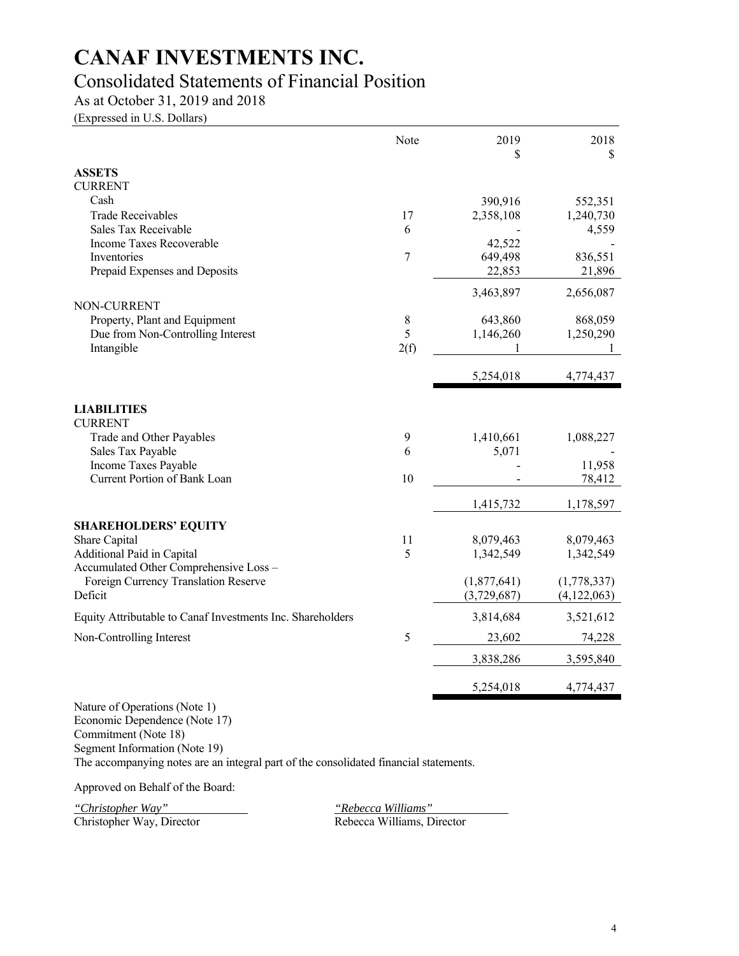# Consolidated Statements of Financial Position

As at October 31, 2019 and 2018

(Expressed in U.S. Dollars)

|                                                            | Note | 2019<br>S                  | 2018<br>S                  |
|------------------------------------------------------------|------|----------------------------|----------------------------|
| <b>ASSETS</b>                                              |      |                            |                            |
| CURRENT                                                    |      |                            |                            |
| Cash                                                       |      | 390,916                    | 552,351                    |
| <b>Trade Receivables</b>                                   | 17   | 2,358,108                  | 1,240,730                  |
| Sales Tax Receivable                                       | 6    |                            | 4,559                      |
| Income Taxes Recoverable                                   |      | 42,522                     |                            |
| Inventories                                                | 7    | 649,498                    | 836,551                    |
| Prepaid Expenses and Deposits                              |      | 22,853                     | 21,896                     |
|                                                            |      | 3,463,897                  | 2,656,087                  |
| <b>NON-CURRENT</b><br>Property, Plant and Equipment        | 8    | 643,860                    | 868,059                    |
| Due from Non-Controlling Interest                          | 5    | 1,146,260                  | 1,250,290                  |
| Intangible                                                 | 2(f) |                            |                            |
|                                                            |      | 5,254,018                  | 4,774,437                  |
| <b>LIABILITIES</b><br><b>CURRENT</b>                       |      |                            |                            |
| Trade and Other Payables                                   | 9    | 1,410,661                  | 1,088,227                  |
| Sales Tax Payable                                          | 6    | 5,071                      |                            |
| Income Taxes Payable                                       |      |                            | 11,958                     |
| Current Portion of Bank Loan                               | 10   |                            | 78,412                     |
|                                                            |      | 1,415,732                  | 1,178,597                  |
| <b>SHAREHOLDERS' EQUITY</b>                                |      |                            |                            |
| Share Capital                                              | 11   | 8,079,463                  | 8,079,463                  |
| Additional Paid in Capital                                 | 5    | 1,342,549                  | 1,342,549                  |
| Accumulated Other Comprehensive Loss -                     |      |                            |                            |
| Foreign Currency Translation Reserve<br>Deficit            |      | (1,877,641)<br>(3,729,687) | (1,778,337)<br>(4,122,063) |
|                                                            |      |                            |                            |
| Equity Attributable to Canaf Investments Inc. Shareholders |      | 3,814,684                  | 3,521,612                  |
| Non-Controlling Interest                                   | 5    | 23,602                     | 74,228                     |
|                                                            |      | 3,838,286                  | 3,595,840                  |
|                                                            |      | 5,254,018                  | 4,774,437                  |
| Nature of Operations (Note 1)                              |      |                            |                            |

Economic Dependence (Note 17)

Commitment (Note 18)

Segment Information (Note 19)

The accompanying notes are an integral part of the consolidated financial statements.

Approved on Behalf of the Board:

*"Christopher Way"*<br>Christopher Way, Director

"Rebecca Williams"<br>Rebecca Williams, Director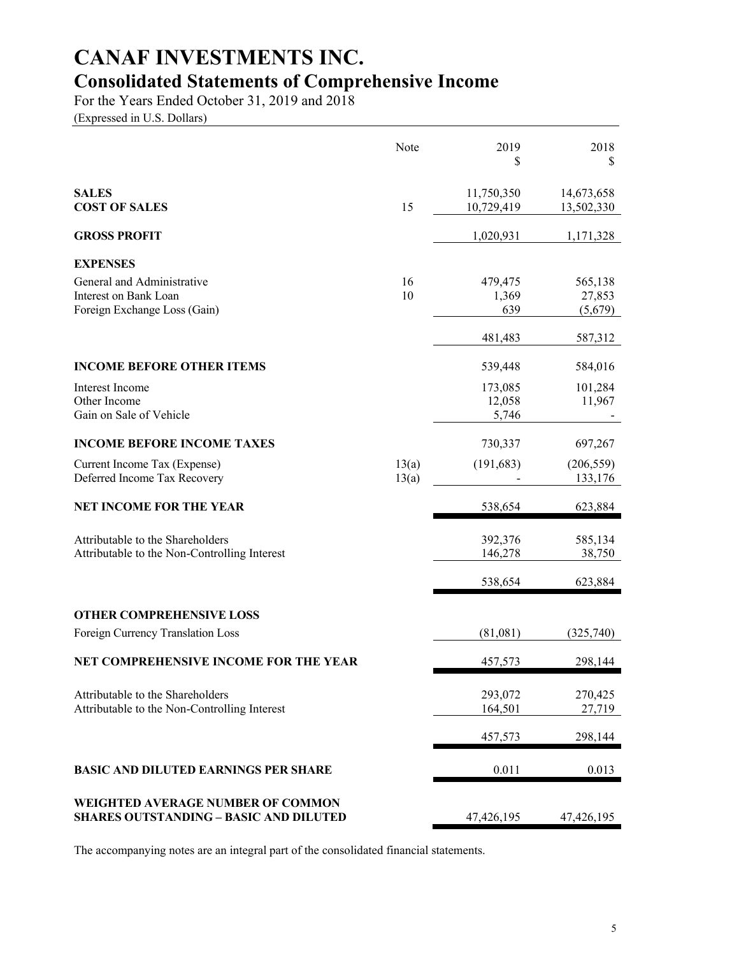# **CANAF INVESTMENTS INC. Consolidated Statements of Comprehensive Income**

For the Years Ended October 31, 2019 and 2018

(Expressed in U.S. Dollars)

|                                                                                           | Note           | 2019<br>\$                 | 2018<br>\$                   |
|-------------------------------------------------------------------------------------------|----------------|----------------------------|------------------------------|
| <b>SALES</b><br><b>COST OF SALES</b>                                                      | 15             | 11,750,350<br>10,729,419   | 14,673,658<br>13,502,330     |
| <b>GROSS PROFIT</b>                                                                       |                | 1,020,931                  | 1,171,328                    |
| <b>EXPENSES</b>                                                                           |                |                            |                              |
| General and Administrative<br>Interest on Bank Loan<br>Foreign Exchange Loss (Gain)       | 16<br>10       | 479,475<br>1,369<br>639    | 565,138<br>27,853<br>(5,679) |
|                                                                                           |                | 481,483                    | 587,312                      |
| <b>INCOME BEFORE OTHER ITEMS</b>                                                          |                | 539,448                    | 584,016                      |
| Interest Income<br>Other Income<br>Gain on Sale of Vehicle                                |                | 173,085<br>12,058<br>5,746 | 101,284<br>11,967            |
| <b>INCOME BEFORE INCOME TAXES</b>                                                         |                | 730,337                    | 697,267                      |
| Current Income Tax (Expense)<br>Deferred Income Tax Recovery                              | 13(a)<br>13(a) | (191, 683)                 | (206, 559)<br>133,176        |
| <b>NET INCOME FOR THE YEAR</b>                                                            |                | 538,654                    | 623,884                      |
| Attributable to the Shareholders<br>Attributable to the Non-Controlling Interest          |                | 392,376<br>146,278         | 585,134<br>38,750            |
|                                                                                           |                | 538,654                    | 623,884                      |
| <b>OTHER COMPREHENSIVE LOSS</b>                                                           |                |                            |                              |
| Foreign Currency Translation Loss                                                         |                | (81,081)                   | (325,740)                    |
| NET COMPREHENSIVE INCOME FOR THE YEAR                                                     |                | 457,573                    | 298,144                      |
| Attributable to the Shareholders<br>Attributable to the Non-Controlling Interest          |                | 293,072<br>164,501         | 270,425<br>27,719            |
|                                                                                           |                | 457,573                    | 298,144                      |
| <b>BASIC AND DILUTED EARNINGS PER SHARE</b>                                               |                | 0.011                      | 0.013                        |
| <b>WEIGHTED AVERAGE NUMBER OF COMMON</b><br><b>SHARES OUTSTANDING - BASIC AND DILUTED</b> |                | 47,426,195                 | 47,426,195                   |

The accompanying notes are an integral part of the consolidated financial statements.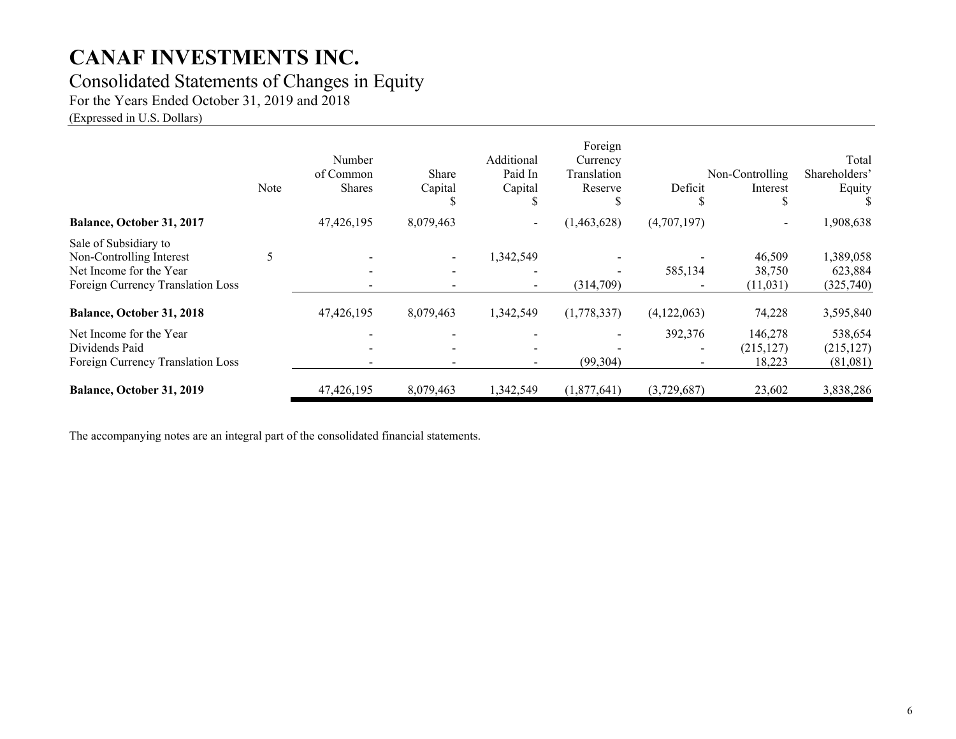## Consolidated Statements of Changes in Equity

For the Years Ended October 31, 2019 and 2018

(Expressed in U.S. Dollars)

|                                                                                                                   | Note | Number<br>of Common<br><b>Shares</b> | Share<br>Capital | Additional<br>Paid In<br>Capital | Foreign<br>Currency<br>Translation<br>Reserve | Deficit<br>۰D. | Non-Controlling<br>Interest<br>J. | Total<br>Shareholders'<br>Equity  |
|-------------------------------------------------------------------------------------------------------------------|------|--------------------------------------|------------------|----------------------------------|-----------------------------------------------|----------------|-----------------------------------|-----------------------------------|
| Balance, October 31, 2017                                                                                         |      | 47,426,195                           | 8,079,463        | $\blacksquare$                   | (1,463,628)                                   | (4,707,197)    | $\overline{\phantom{a}}$          | 1,908,638                         |
| Sale of Subsidiary to<br>Non-Controlling Interest<br>Net Income for the Year<br>Foreign Currency Translation Loss |      |                                      |                  | 1,342,549<br>$\blacksquare$      | (314,709)                                     | 585,134        | 46,509<br>38,750<br>(11,031)      | 1,389,058<br>623,884<br>(325,740) |
| Balance, October 31, 2018                                                                                         |      | 47,426,195                           | 8,079,463        | 1,342,549                        | (1,778,337)                                   | (4,122,063)    | 74,228                            | 3,595,840                         |
| Net Income for the Year<br>Dividends Paid<br>Foreign Currency Translation Loss                                    |      |                                      |                  | $\blacksquare$                   | (99, 304)                                     | 392,376        | 146,278<br>(215, 127)<br>18,223   | 538,654<br>(215, 127)<br>(81,081) |
| Balance, October 31, 2019                                                                                         |      | 47,426,195                           | 8,079,463        | 1,342,549                        | (1,877,641)                                   | (3,729,687)    | 23,602                            | 3,838,286                         |

The accompanying notes are an integral part of the consolidated financial statements.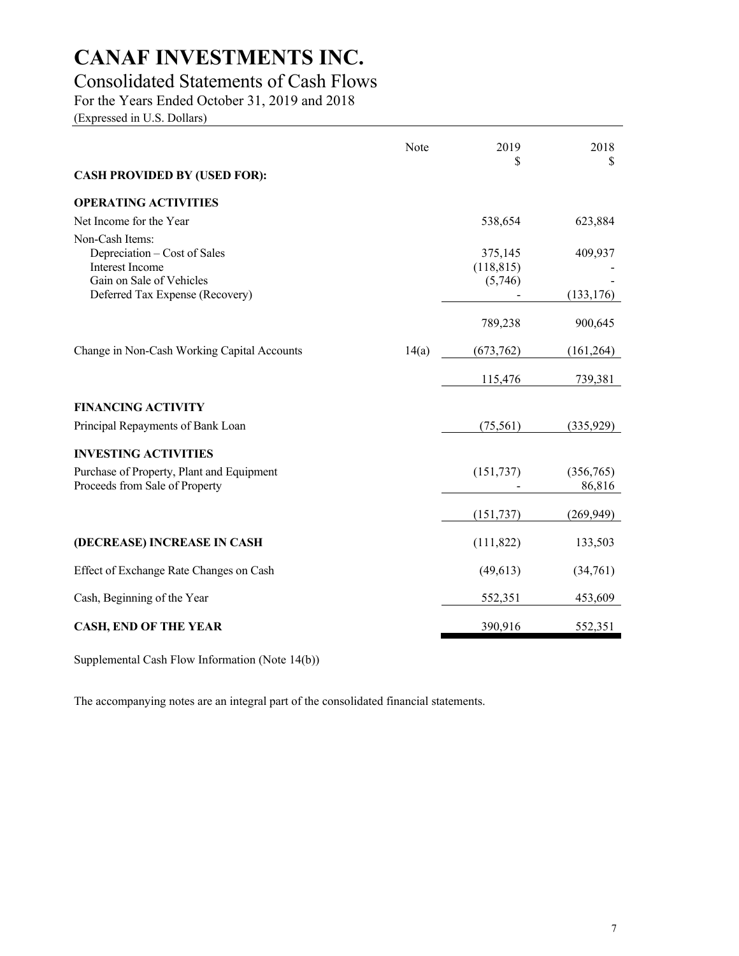# Consolidated Statements of Cash Flows

For the Years Ended October 31, 2019 and 2018

(Expressed in U.S. Dollars)

|                                                                                                                                   | Note  | 2019                             | 2018                  |
|-----------------------------------------------------------------------------------------------------------------------------------|-------|----------------------------------|-----------------------|
| <b>CASH PROVIDED BY (USED FOR):</b>                                                                                               |       | \$                               | S                     |
| <b>OPERATING ACTIVITIES</b>                                                                                                       |       |                                  |                       |
| Net Income for the Year                                                                                                           |       | 538,654                          | 623,884               |
| Non-Cash Items:<br>Depreciation – Cost of Sales<br>Interest Income<br>Gain on Sale of Vehicles<br>Deferred Tax Expense (Recovery) |       | 375,145<br>(118, 815)<br>(5,746) | 409,937<br>(133, 176) |
|                                                                                                                                   |       | 789,238                          | 900,645               |
| Change in Non-Cash Working Capital Accounts                                                                                       | 14(a) | (673, 762)                       | (161, 264)            |
|                                                                                                                                   |       | 115,476                          | 739,381               |
| <b>FINANCING ACTIVITY</b>                                                                                                         |       |                                  |                       |
| Principal Repayments of Bank Loan                                                                                                 |       | (75, 561)                        | (335, 929)            |
| <b>INVESTING ACTIVITIES</b>                                                                                                       |       |                                  |                       |
| Purchase of Property, Plant and Equipment<br>Proceeds from Sale of Property                                                       |       | (151, 737)                       | (356,765)<br>86,816   |
|                                                                                                                                   |       | (151, 737)                       | (269, 949)            |
| (DECREASE) INCREASE IN CASH                                                                                                       |       | (111, 822)                       | 133,503               |
| Effect of Exchange Rate Changes on Cash                                                                                           |       | (49, 613)                        | (34,761)              |
| Cash, Beginning of the Year                                                                                                       |       | 552,351                          | 453,609               |
| <b>CASH, END OF THE YEAR</b>                                                                                                      |       | 390,916                          | 552,351               |

Supplemental Cash Flow Information (Note 14(b))

The accompanying notes are an integral part of the consolidated financial statements.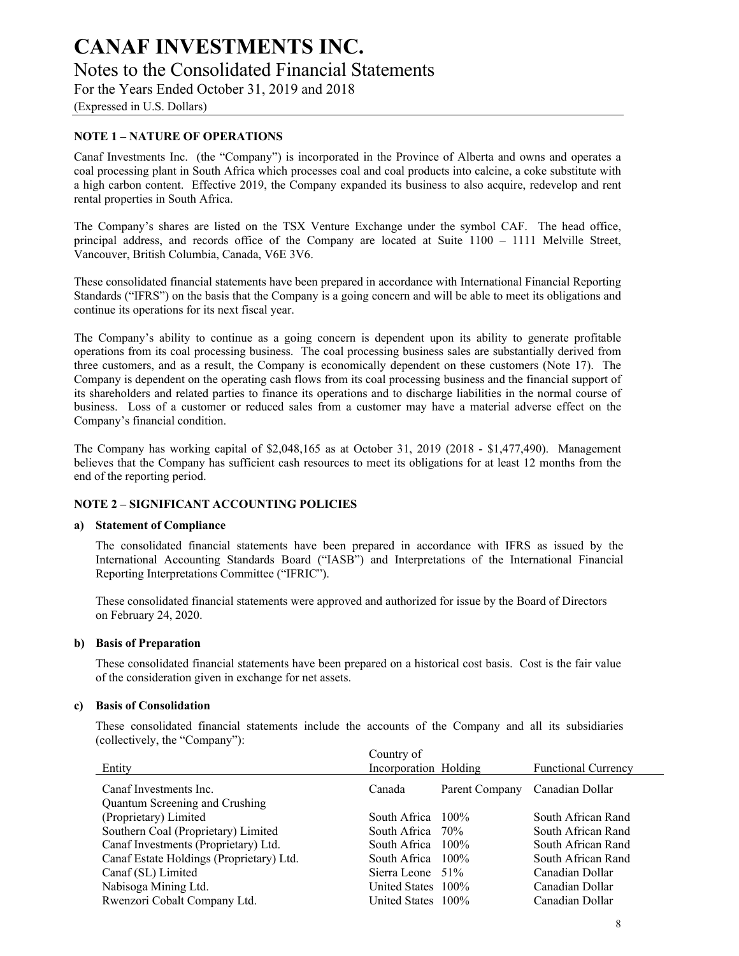(Expressed in U.S. Dollars)

#### **NOTE 1 – NATURE OF OPERATIONS**

Canaf Investments Inc. (the "Company") is incorporated in the Province of Alberta and owns and operates a coal processing plant in South Africa which processes coal and coal products into calcine, a coke substitute with a high carbon content. Effective 2019, the Company expanded its business to also acquire, redevelop and rent rental properties in South Africa.

The Company's shares are listed on the TSX Venture Exchange under the symbol CAF. The head office, principal address, and records office of the Company are located at Suite 1100 – 1111 Melville Street, Vancouver, British Columbia, Canada, V6E 3V6.

These consolidated financial statements have been prepared in accordance with International Financial Reporting Standards ("IFRS") on the basis that the Company is a going concern and will be able to meet its obligations and continue its operations for its next fiscal year.

The Company's ability to continue as a going concern is dependent upon its ability to generate profitable operations from its coal processing business. The coal processing business sales are substantially derived from three customers, and as a result, the Company is economically dependent on these customers (Note 17). The Company is dependent on the operating cash flows from its coal processing business and the financial support of its shareholders and related parties to finance its operations and to discharge liabilities in the normal course of business. Loss of a customer or reduced sales from a customer may have a material adverse effect on the Company's financial condition.

The Company has working capital of \$2,048,165 as at October 31, 2019 (2018 - \$1,477,490). Management believes that the Company has sufficient cash resources to meet its obligations for at least 12 months from the end of the reporting period.

#### **NOTE 2 – SIGNIFICANT ACCOUNTING POLICIES**

#### **a) Statement of Compliance**

The consolidated financial statements have been prepared in accordance with IFRS as issued by the International Accounting Standards Board ("IASB") and Interpretations of the International Financial Reporting Interpretations Committee ("IFRIC").

These consolidated financial statements were approved and authorized for issue by the Board of Directors on February 24, 2020.

#### **b) Basis of Preparation**

These consolidated financial statements have been prepared on a historical cost basis. Cost is the fair value of the consideration given in exchange for net assets.

#### **c) Basis of Consolidation**

These consolidated financial statements include the accounts of the Company and all its subsidiaries (collectively, the "Company"):

|                                          | Country of            |                |                            |
|------------------------------------------|-----------------------|----------------|----------------------------|
| Entity                                   | Incorporation Holding |                | <b>Functional Currency</b> |
| Canaf Investments Inc.                   | Canada                | Parent Company | Canadian Dollar            |
| Quantum Screening and Crushing           |                       |                |                            |
| (Proprietary) Limited                    | South Africa $100\%$  |                | South African Rand         |
| Southern Coal (Proprietary) Limited      | South Africa 70%      |                | South African Rand         |
| Canaf Investments (Proprietary) Ltd.     | South Africa 100%     |                | South African Rand         |
| Canaf Estate Holdings (Proprietary) Ltd. | South Africa 100%     |                | South African Rand         |
| Canaf (SL) Limited                       | Sierra Leone 51%      |                | Canadian Dollar            |
| Nabisoga Mining Ltd.                     | United States 100%    |                | Canadian Dollar            |
| Rwenzori Cobalt Company Ltd.             | United States 100%    |                | Canadian Dollar            |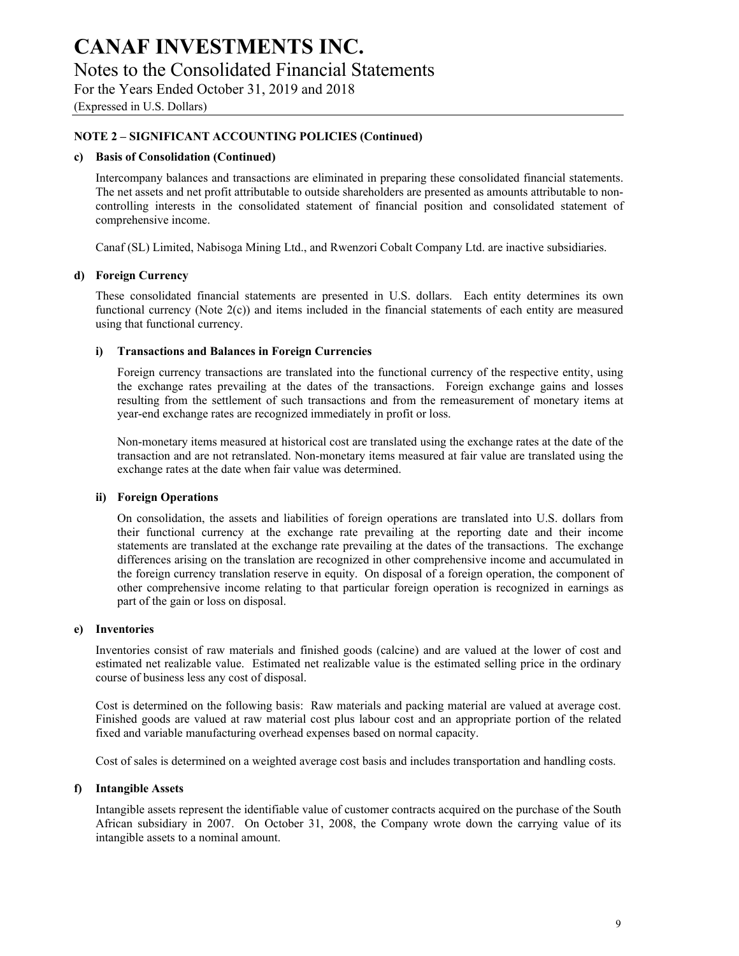(Expressed in U.S. Dollars)

#### **NOTE 2 – SIGNIFICANT ACCOUNTING POLICIES (Continued)**

#### **c) Basis of Consolidation (Continued)**

Intercompany balances and transactions are eliminated in preparing these consolidated financial statements. The net assets and net profit attributable to outside shareholders are presented as amounts attributable to noncontrolling interests in the consolidated statement of financial position and consolidated statement of comprehensive income.

Canaf (SL) Limited, Nabisoga Mining Ltd., and Rwenzori Cobalt Company Ltd. are inactive subsidiaries.

#### **d) Foreign Currency**

These consolidated financial statements are presented in U.S. dollars. Each entity determines its own functional currency (Note 2(c)) and items included in the financial statements of each entity are measured using that functional currency.

#### **i) Transactions and Balances in Foreign Currencies**

Foreign currency transactions are translated into the functional currency of the respective entity, using the exchange rates prevailing at the dates of the transactions. Foreign exchange gains and losses resulting from the settlement of such transactions and from the remeasurement of monetary items at year-end exchange rates are recognized immediately in profit or loss.

Non-monetary items measured at historical cost are translated using the exchange rates at the date of the transaction and are not retranslated. Non-monetary items measured at fair value are translated using the exchange rates at the date when fair value was determined.

#### **ii) Foreign Operations**

On consolidation, the assets and liabilities of foreign operations are translated into U.S. dollars from their functional currency at the exchange rate prevailing at the reporting date and their income statements are translated at the exchange rate prevailing at the dates of the transactions. The exchange differences arising on the translation are recognized in other comprehensive income and accumulated in the foreign currency translation reserve in equity. On disposal of a foreign operation, the component of other comprehensive income relating to that particular foreign operation is recognized in earnings as part of the gain or loss on disposal.

#### **e) Inventories**

Inventories consist of raw materials and finished goods (calcine) and are valued at the lower of cost and estimated net realizable value. Estimated net realizable value is the estimated selling price in the ordinary course of business less any cost of disposal.

Cost is determined on the following basis: Raw materials and packing material are valued at average cost. Finished goods are valued at raw material cost plus labour cost and an appropriate portion of the related fixed and variable manufacturing overhead expenses based on normal capacity.

Cost of sales is determined on a weighted average cost basis and includes transportation and handling costs.

#### **f) Intangible Assets**

Intangible assets represent the identifiable value of customer contracts acquired on the purchase of the South African subsidiary in 2007. On October 31, 2008, the Company wrote down the carrying value of its intangible assets to a nominal amount.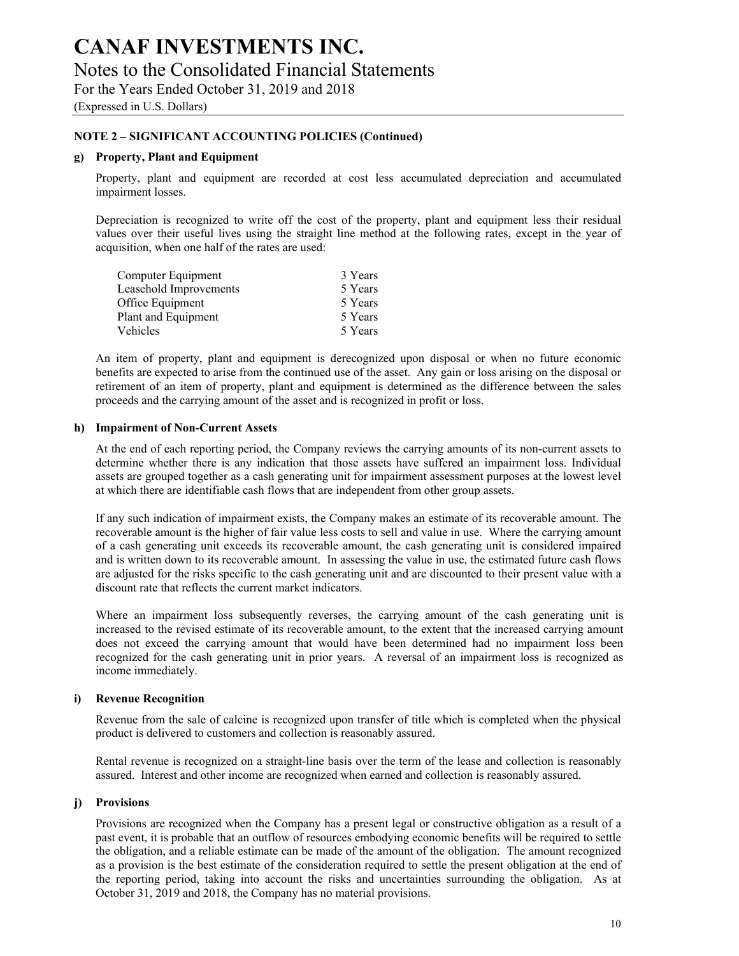(Expressed in U.S. Dollars)

### **NOTE 2 – SIGNIFICANT ACCOUNTING POLICIES (Continued)**

#### **g) Property, Plant and Equipment**

Property, plant and equipment are recorded at cost less accumulated depreciation and accumulated impairment losses.

Depreciation is recognized to write off the cost of the property, plant and equipment less their residual values over their useful lives using the straight line method at the following rates, except in the year of acquisition, when one half of the rates are used:

| 3 Years |
|---------|
| 5 Years |
| 5 Years |
| 5 Years |
| 5 Years |
|         |

An item of property, plant and equipment is derecognized upon disposal or when no future economic benefits are expected to arise from the continued use of the asset. Any gain or loss arising on the disposal or retirement of an item of property, plant and equipment is determined as the difference between the sales proceeds and the carrying amount of the asset and is recognized in profit or loss.

#### **h) Impairment of Non-Current Assets**

At the end of each reporting period, the Company reviews the carrying amounts of its non-current assets to determine whether there is any indication that those assets have suffered an impairment loss. Individual assets are grouped together as a cash generating unit for impairment assessment purposes at the lowest level at which there are identifiable cash flows that are independent from other group assets.

If any such indication of impairment exists, the Company makes an estimate of its recoverable amount. The recoverable amount is the higher of fair value less costs to sell and value in use. Where the carrying amount of a cash generating unit exceeds its recoverable amount, the cash generating unit is considered impaired and is written down to its recoverable amount. In assessing the value in use, the estimated future cash flows are adjusted for the risks specific to the cash generating unit and are discounted to their present value with a discount rate that reflects the current market indicators.

Where an impairment loss subsequently reverses, the carrying amount of the cash generating unit is increased to the revised estimate of its recoverable amount, to the extent that the increased carrying amount does not exceed the carrying amount that would have been determined had no impairment loss been recognized for the cash generating unit in prior years. A reversal of an impairment loss is recognized as income immediately.

#### **i) Revenue Recognition**

Revenue from the sale of calcine is recognized upon transfer of title which is completed when the physical product is delivered to customers and collection is reasonably assured.

Rental revenue is recognized on a straight-line basis over the term of the lease and collection is reasonably assured. Interest and other income are recognized when earned and collection is reasonably assured.

#### **j) Provisions**

Provisions are recognized when the Company has a present legal or constructive obligation as a result of a past event, it is probable that an outflow of resources embodying economic benefits will be required to settle the obligation, and a reliable estimate can be made of the amount of the obligation. The amount recognized as a provision is the best estimate of the consideration required to settle the present obligation at the end of the reporting period, taking into account the risks and uncertainties surrounding the obligation. As at October 31, 2019 and 2018, the Company has no material provisions.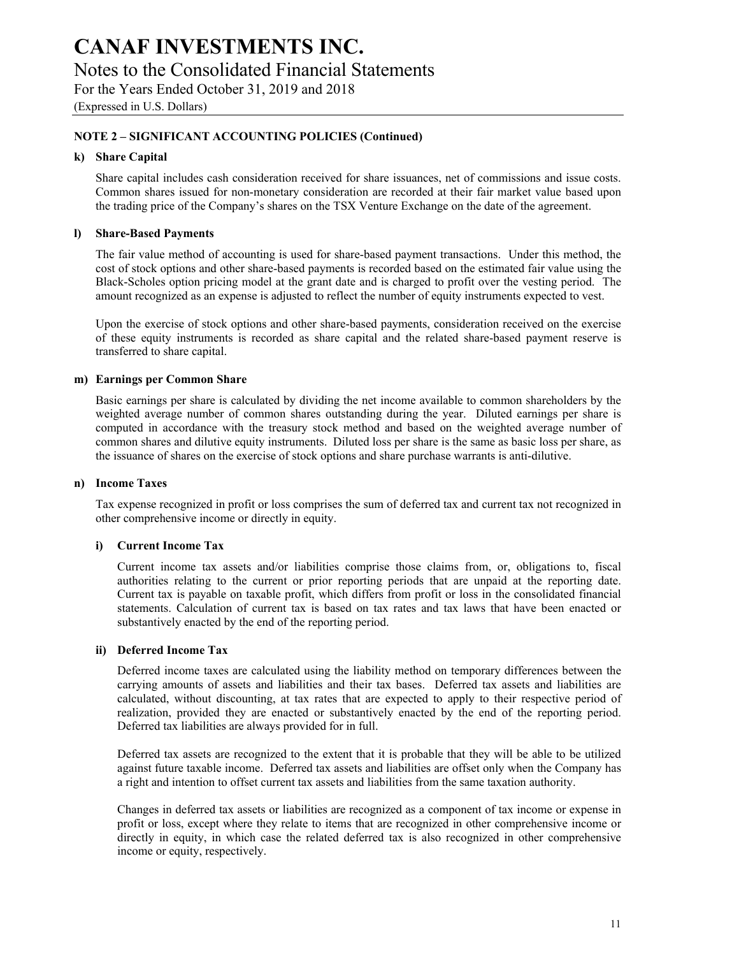(Expressed in U.S. Dollars)

### **NOTE 2 – SIGNIFICANT ACCOUNTING POLICIES (Continued)**

#### **k) Share Capital**

Share capital includes cash consideration received for share issuances, net of commissions and issue costs. Common shares issued for non-monetary consideration are recorded at their fair market value based upon the trading price of the Company's shares on the TSX Venture Exchange on the date of the agreement.

#### **l) Share-Based Payments**

The fair value method of accounting is used for share-based payment transactions. Under this method, the cost of stock options and other share-based payments is recorded based on the estimated fair value using the Black-Scholes option pricing model at the grant date and is charged to profit over the vesting period. The amount recognized as an expense is adjusted to reflect the number of equity instruments expected to vest.

Upon the exercise of stock options and other share-based payments, consideration received on the exercise of these equity instruments is recorded as share capital and the related share-based payment reserve is transferred to share capital.

#### **m) Earnings per Common Share**

Basic earnings per share is calculated by dividing the net income available to common shareholders by the weighted average number of common shares outstanding during the year. Diluted earnings per share is computed in accordance with the treasury stock method and based on the weighted average number of common shares and dilutive equity instruments. Diluted loss per share is the same as basic loss per share, as the issuance of shares on the exercise of stock options and share purchase warrants is anti-dilutive.

#### **n) Income Taxes**

Tax expense recognized in profit or loss comprises the sum of deferred tax and current tax not recognized in other comprehensive income or directly in equity.

#### **i) Current Income Tax**

Current income tax assets and/or liabilities comprise those claims from, or, obligations to, fiscal authorities relating to the current or prior reporting periods that are unpaid at the reporting date. Current tax is payable on taxable profit, which differs from profit or loss in the consolidated financial statements. Calculation of current tax is based on tax rates and tax laws that have been enacted or substantively enacted by the end of the reporting period.

#### **ii) Deferred Income Tax**

Deferred income taxes are calculated using the liability method on temporary differences between the carrying amounts of assets and liabilities and their tax bases. Deferred tax assets and liabilities are calculated, without discounting, at tax rates that are expected to apply to their respective period of realization, provided they are enacted or substantively enacted by the end of the reporting period. Deferred tax liabilities are always provided for in full.

Deferred tax assets are recognized to the extent that it is probable that they will be able to be utilized against future taxable income. Deferred tax assets and liabilities are offset only when the Company has a right and intention to offset current tax assets and liabilities from the same taxation authority.

Changes in deferred tax assets or liabilities are recognized as a component of tax income or expense in profit or loss, except where they relate to items that are recognized in other comprehensive income or directly in equity, in which case the related deferred tax is also recognized in other comprehensive income or equity, respectively.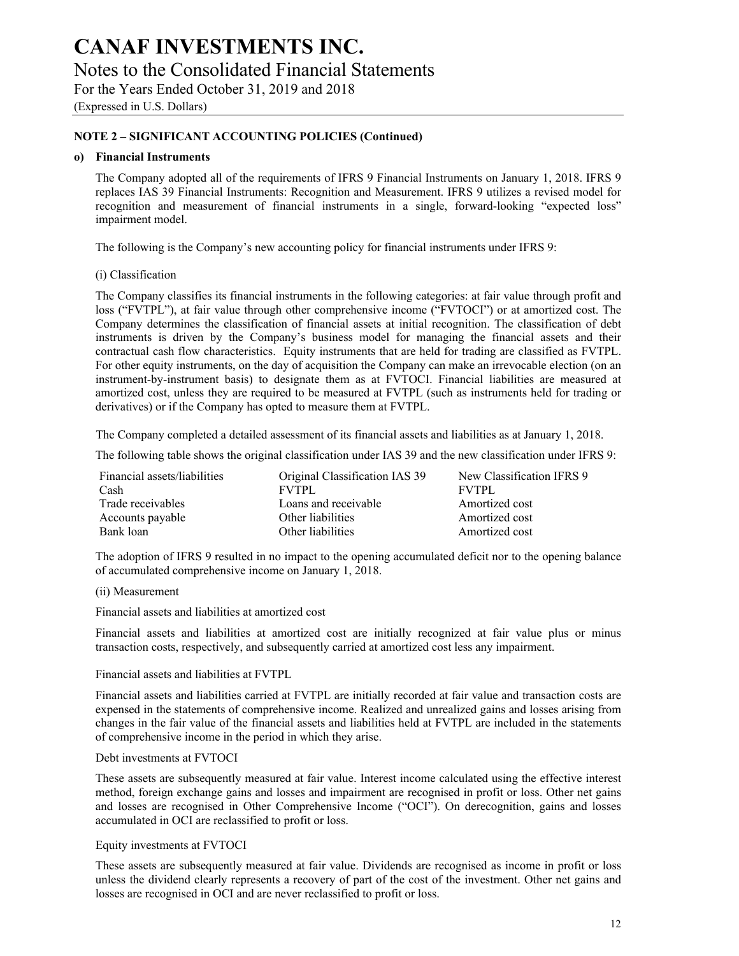(Expressed in U.S. Dollars)

### **NOTE 2 – SIGNIFICANT ACCOUNTING POLICIES (Continued)**

#### **o) Financial Instruments**

The Company adopted all of the requirements of IFRS 9 Financial Instruments on January 1, 2018. IFRS 9 replaces IAS 39 Financial Instruments: Recognition and Measurement. IFRS 9 utilizes a revised model for recognition and measurement of financial instruments in a single, forward-looking "expected loss" impairment model.

The following is the Company's new accounting policy for financial instruments under IFRS 9:

#### (i) Classification

The Company classifies its financial instruments in the following categories: at fair value through profit and loss ("FVTPL"), at fair value through other comprehensive income ("FVTOCI") or at amortized cost. The Company determines the classification of financial assets at initial recognition. The classification of debt instruments is driven by the Company's business model for managing the financial assets and their contractual cash flow characteristics. Equity instruments that are held for trading are classified as FVTPL. For other equity instruments, on the day of acquisition the Company can make an irrevocable election (on an instrument-by-instrument basis) to designate them as at FVTOCI. Financial liabilities are measured at amortized cost, unless they are required to be measured at FVTPL (such as instruments held for trading or derivatives) or if the Company has opted to measure them at FVTPL.

The Company completed a detailed assessment of its financial assets and liabilities as at January 1, 2018.

The following table shows the original classification under IAS 39 and the new classification under IFRS 9:

| Financial assets/liabilities | Original Classification IAS 39 | New Classification IFRS 9 |
|------------------------------|--------------------------------|---------------------------|
| Cash                         | <b>FVTPL</b>                   | <b>FVTPL</b>              |
| Trade receivables            | Loans and receivable           | Amortized cost            |
| Accounts payable             | Other liabilities              | Amortized cost            |
| Bank loan                    | Other liabilities              | Amortized cost            |

The adoption of IFRS 9 resulted in no impact to the opening accumulated deficit nor to the opening balance of accumulated comprehensive income on January 1, 2018.

#### (ii) Measurement

Financial assets and liabilities at amortized cost

Financial assets and liabilities at amortized cost are initially recognized at fair value plus or minus transaction costs, respectively, and subsequently carried at amortized cost less any impairment.

#### Financial assets and liabilities at FVTPL

Financial assets and liabilities carried at FVTPL are initially recorded at fair value and transaction costs are expensed in the statements of comprehensive income. Realized and unrealized gains and losses arising from changes in the fair value of the financial assets and liabilities held at FVTPL are included in the statements of comprehensive income in the period in which they arise.

#### Debt investments at FVTOCI

These assets are subsequently measured at fair value. Interest income calculated using the effective interest method, foreign exchange gains and losses and impairment are recognised in profit or loss. Other net gains and losses are recognised in Other Comprehensive Income ("OCI"). On derecognition, gains and losses accumulated in OCI are reclassified to profit or loss.

#### Equity investments at FVTOCI

These assets are subsequently measured at fair value. Dividends are recognised as income in profit or loss unless the dividend clearly represents a recovery of part of the cost of the investment. Other net gains and losses are recognised in OCI and are never reclassified to profit or loss.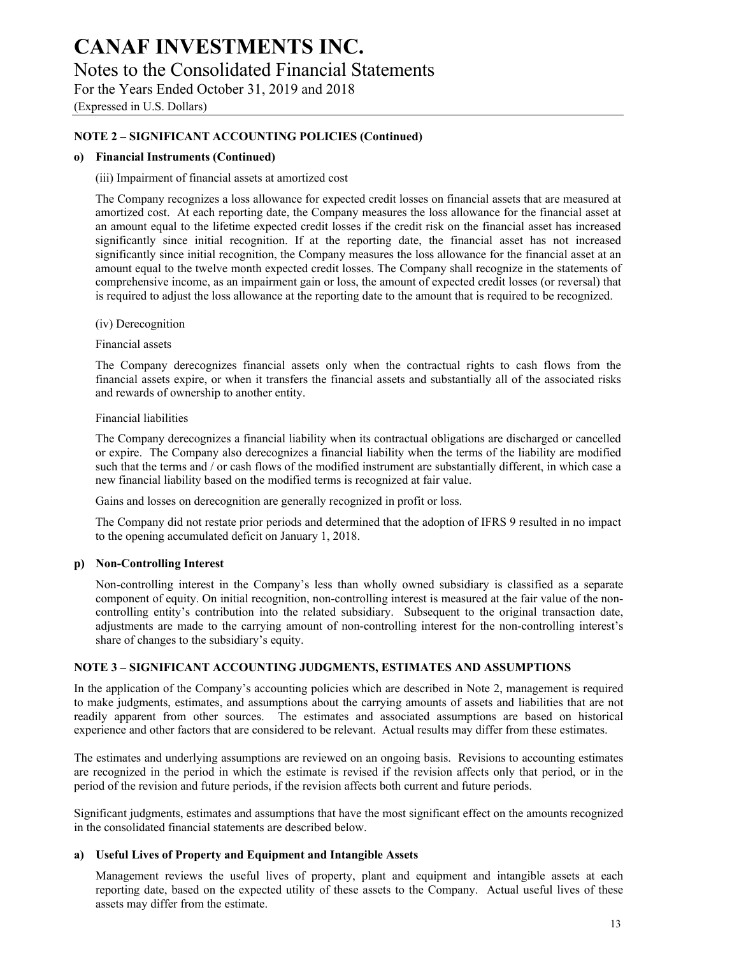(Expressed in U.S. Dollars)

### **NOTE 2 – SIGNIFICANT ACCOUNTING POLICIES (Continued)**

#### **o) Financial Instruments (Continued)**

#### (iii) Impairment of financial assets at amortized cost

The Company recognizes a loss allowance for expected credit losses on financial assets that are measured at amortized cost. At each reporting date, the Company measures the loss allowance for the financial asset at an amount equal to the lifetime expected credit losses if the credit risk on the financial asset has increased significantly since initial recognition. If at the reporting date, the financial asset has not increased significantly since initial recognition, the Company measures the loss allowance for the financial asset at an amount equal to the twelve month expected credit losses. The Company shall recognize in the statements of comprehensive income, as an impairment gain or loss, the amount of expected credit losses (or reversal) that is required to adjust the loss allowance at the reporting date to the amount that is required to be recognized.

(iv) Derecognition

Financial assets

The Company derecognizes financial assets only when the contractual rights to cash flows from the financial assets expire, or when it transfers the financial assets and substantially all of the associated risks and rewards of ownership to another entity.

#### Financial liabilities

The Company derecognizes a financial liability when its contractual obligations are discharged or cancelled or expire. The Company also derecognizes a financial liability when the terms of the liability are modified such that the terms and / or cash flows of the modified instrument are substantially different, in which case a new financial liability based on the modified terms is recognized at fair value.

Gains and losses on derecognition are generally recognized in profit or loss.

The Company did not restate prior periods and determined that the adoption of IFRS 9 resulted in no impact to the opening accumulated deficit on January 1, 2018.

#### **p) Non-Controlling Interest**

Non-controlling interest in the Company's less than wholly owned subsidiary is classified as a separate component of equity. On initial recognition, non-controlling interest is measured at the fair value of the noncontrolling entity's contribution into the related subsidiary. Subsequent to the original transaction date, adjustments are made to the carrying amount of non-controlling interest for the non-controlling interest's share of changes to the subsidiary's equity.

#### **NOTE 3 – SIGNIFICANT ACCOUNTING JUDGMENTS, ESTIMATES AND ASSUMPTIONS**

In the application of the Company's accounting policies which are described in Note 2, management is required to make judgments, estimates, and assumptions about the carrying amounts of assets and liabilities that are not readily apparent from other sources. The estimates and associated assumptions are based on historical experience and other factors that are considered to be relevant. Actual results may differ from these estimates.

The estimates and underlying assumptions are reviewed on an ongoing basis. Revisions to accounting estimates are recognized in the period in which the estimate is revised if the revision affects only that period, or in the period of the revision and future periods, if the revision affects both current and future periods.

Significant judgments, estimates and assumptions that have the most significant effect on the amounts recognized in the consolidated financial statements are described below.

#### **a) Useful Lives of Property and Equipment and Intangible Assets**

Management reviews the useful lives of property, plant and equipment and intangible assets at each reporting date, based on the expected utility of these assets to the Company. Actual useful lives of these assets may differ from the estimate.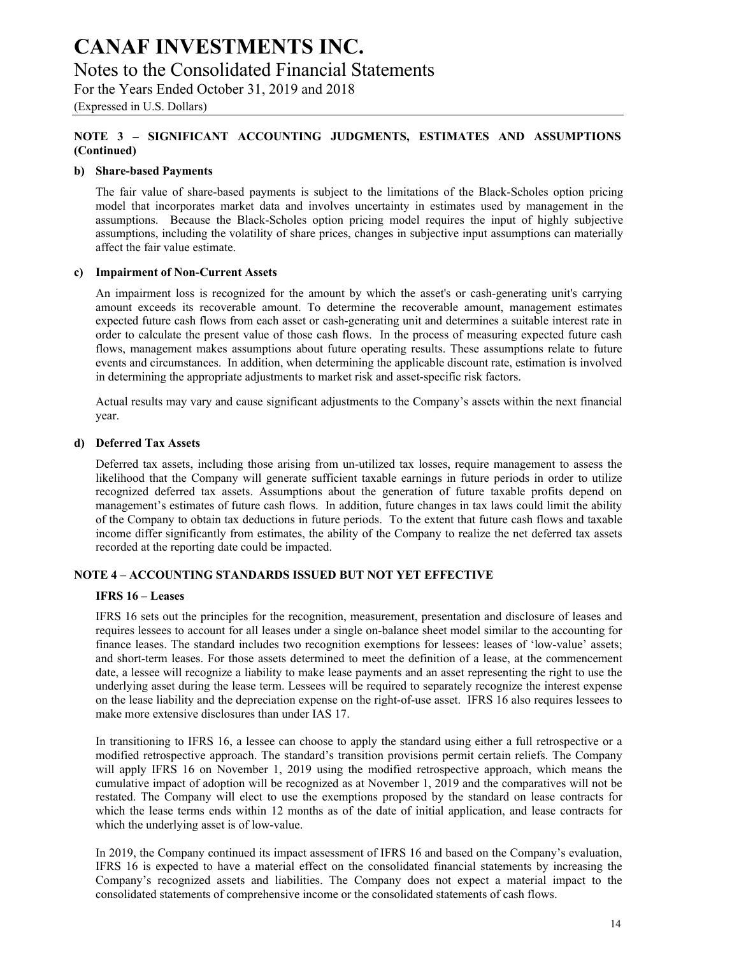## Notes to the Consolidated Financial Statements

For the Years Ended October 31, 2019 and 2018

(Expressed in U.S. Dollars)

## **NOTE 3 – SIGNIFICANT ACCOUNTING JUDGMENTS, ESTIMATES AND ASSUMPTIONS (Continued)**

### **b) Share-based Payments**

The fair value of share-based payments is subject to the limitations of the Black-Scholes option pricing model that incorporates market data and involves uncertainty in estimates used by management in the assumptions. Because the Black-Scholes option pricing model requires the input of highly subjective assumptions, including the volatility of share prices, changes in subjective input assumptions can materially affect the fair value estimate.

### **c) Impairment of Non-Current Assets**

An impairment loss is recognized for the amount by which the asset's or cash-generating unit's carrying amount exceeds its recoverable amount. To determine the recoverable amount, management estimates expected future cash flows from each asset or cash-generating unit and determines a suitable interest rate in order to calculate the present value of those cash flows. In the process of measuring expected future cash flows, management makes assumptions about future operating results. These assumptions relate to future events and circumstances. In addition, when determining the applicable discount rate, estimation is involved in determining the appropriate adjustments to market risk and asset-specific risk factors.

Actual results may vary and cause significant adjustments to the Company's assets within the next financial year.

### **d) Deferred Tax Assets**

Deferred tax assets, including those arising from un-utilized tax losses, require management to assess the likelihood that the Company will generate sufficient taxable earnings in future periods in order to utilize recognized deferred tax assets. Assumptions about the generation of future taxable profits depend on management's estimates of future cash flows. In addition, future changes in tax laws could limit the ability of the Company to obtain tax deductions in future periods. To the extent that future cash flows and taxable income differ significantly from estimates, the ability of the Company to realize the net deferred tax assets recorded at the reporting date could be impacted.

## **NOTE 4 – ACCOUNTING STANDARDS ISSUED BUT NOT YET EFFECTIVE**

#### **IFRS 16 – Leases**

IFRS 16 sets out the principles for the recognition, measurement, presentation and disclosure of leases and requires lessees to account for all leases under a single on-balance sheet model similar to the accounting for finance leases. The standard includes two recognition exemptions for lessees: leases of 'low-value' assets; and short-term leases. For those assets determined to meet the definition of a lease, at the commencement date, a lessee will recognize a liability to make lease payments and an asset representing the right to use the underlying asset during the lease term. Lessees will be required to separately recognize the interest expense on the lease liability and the depreciation expense on the right-of-use asset. IFRS 16 also requires lessees to make more extensive disclosures than under IAS 17.

In transitioning to IFRS 16, a lessee can choose to apply the standard using either a full retrospective or a modified retrospective approach. The standard's transition provisions permit certain reliefs. The Company will apply IFRS 16 on November 1, 2019 using the modified retrospective approach, which means the cumulative impact of adoption will be recognized as at November 1, 2019 and the comparatives will not be restated. The Company will elect to use the exemptions proposed by the standard on lease contracts for which the lease terms ends within 12 months as of the date of initial application, and lease contracts for which the underlying asset is of low-value.

In 2019, the Company continued its impact assessment of IFRS 16 and based on the Company's evaluation, IFRS 16 is expected to have a material effect on the consolidated financial statements by increasing the Company's recognized assets and liabilities. The Company does not expect a material impact to the consolidated statements of comprehensive income or the consolidated statements of cash flows.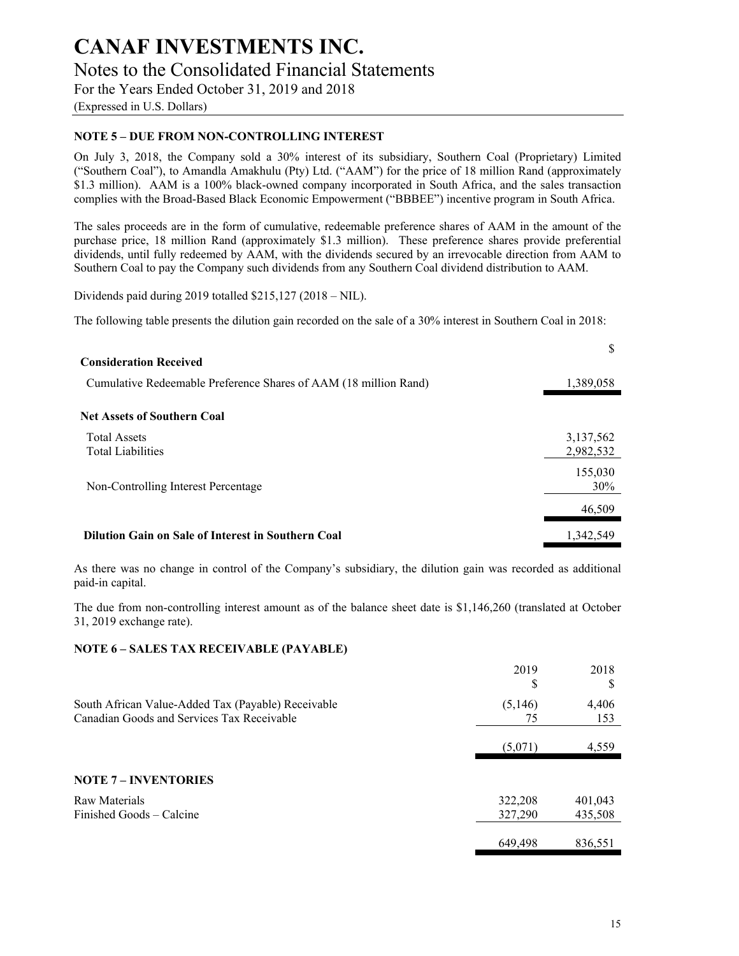(Expressed in U.S. Dollars)

## **NOTE 5 – DUE FROM NON-CONTROLLING INTEREST**

On July 3, 2018, the Company sold a 30% interest of its subsidiary, Southern Coal (Proprietary) Limited ("Southern Coal"), to Amandla Amakhulu (Pty) Ltd. ("AAM") for the price of 18 million Rand (approximately \$1.3 million). AAM is a 100% black-owned company incorporated in South Africa, and the sales transaction complies with the Broad-Based Black Economic Empowerment ("BBBEE") incentive program in South Africa.

The sales proceeds are in the form of cumulative, redeemable preference shares of AAM in the amount of the purchase price, 18 million Rand (approximately \$1.3 million). These preference shares provide preferential dividends, until fully redeemed by AAM, with the dividends secured by an irrevocable direction from AAM to Southern Coal to pay the Company such dividends from any Southern Coal dividend distribution to AAM.

Dividends paid during 2019 totalled \$215,127 (2018 – NIL).

The following table presents the dilution gain recorded on the sale of a 30% interest in Southern Coal in 2018:

| <b>Consideration Received</b>                                    | S                      |
|------------------------------------------------------------------|------------------------|
| Cumulative Redeemable Preference Shares of AAM (18 million Rand) | 1,389,058              |
| <b>Net Assets of Southern Coal</b>                               |                        |
| <b>Total Assets</b><br><b>Total Liabilities</b>                  | 3,137,562<br>2,982,532 |
| Non-Controlling Interest Percentage                              | 155,030<br>30%         |
|                                                                  | 46,509                 |
| Dilution Gain on Sale of Interest in Southern Coal               | 1.342.549              |

As there was no change in control of the Company's subsidiary, the dilution gain was recorded as additional paid-in capital.

The due from non-controlling interest amount as of the balance sheet date is \$1,146,260 (translated at October 31, 2019 exchange rate).

#### **NOTE 6 – SALES TAX RECEIVABLE (PAYABLE)**

|                                                                                                  | 2019<br>S     | 2018<br>S    |
|--------------------------------------------------------------------------------------------------|---------------|--------------|
| South African Value-Added Tax (Payable) Receivable<br>Canadian Goods and Services Tax Receivable | (5,146)<br>75 | 4,406<br>153 |
|                                                                                                  | (5,071)       | 4,559        |
| <b>NOTE 7 - INVENTORIES</b>                                                                      |               |              |
| Raw Materials                                                                                    | 322,208       | 401,043      |
| Finished Goods – Calcine                                                                         | 327,290       | 435,508      |
|                                                                                                  | 649,498       | 836.551      |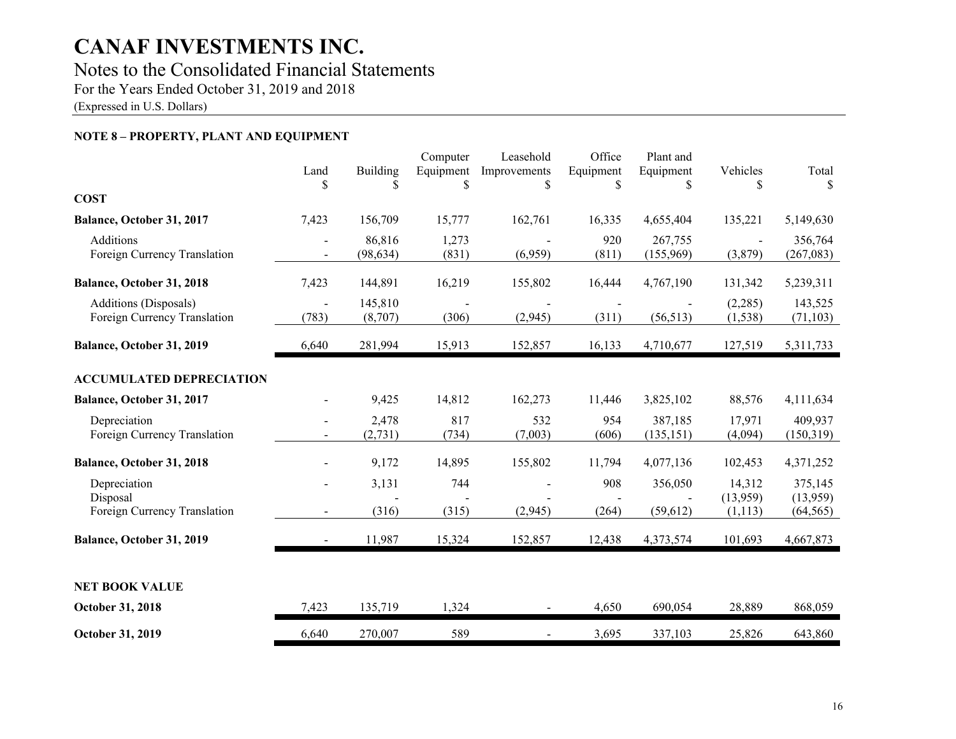## Notes to the Consolidated Financial Statements

For the Years Ended October 31, 2019 and 2018

(Expressed in U.S. Dollars)

## **NOTE 8 – PROPERTY, PLANT AND EQUIPMENT**

|                                                       | Land<br>S                | Building            | Computer<br>Equipment<br>\$ | Leasehold<br>Improvements<br>\$ | Office<br>Equipment<br>\$ | Plant and<br>Equipment<br>\$ | Vehicles            | Total<br>\$.         |
|-------------------------------------------------------|--------------------------|---------------------|-----------------------------|---------------------------------|---------------------------|------------------------------|---------------------|----------------------|
| <b>COST</b>                                           |                          |                     |                             |                                 |                           |                              |                     |                      |
| Balance, October 31, 2017                             | 7,423                    | 156,709             | 15,777                      | 162,761                         | 16,335                    | 4,655,404                    | 135,221             | 5,149,630            |
| Additions<br>Foreign Currency Translation             | $\blacksquare$           | 86,816<br>(98, 634) | 1,273<br>(831)              | (6,959)                         | 920<br>(811)              | 267,755<br>(155,969)         | (3,879)             | 356,764<br>(267,083) |
| Balance, October 31, 2018                             | 7,423                    | 144,891             | 16,219                      | 155,802                         | 16,444                    | 4,767,190                    | 131,342             | 5,239,311            |
| Additions (Disposals)<br>Foreign Currency Translation | (783)                    | 145,810<br>(8,707)  | (306)                       | (2,945)                         | (311)                     | (56, 513)                    | (2,285)<br>(1, 538) | 143,525<br>(71, 103) |
| Balance, October 31, 2019                             | 6,640                    | 281,994             | 15,913                      | 152,857                         | 16,133                    | 4,710,677                    | 127,519             | 5,311,733            |
| <b>ACCUMULATED DEPRECIATION</b>                       |                          |                     |                             |                                 |                           |                              |                     |                      |
| Balance, October 31, 2017                             |                          | 9,425               | 14,812                      | 162,273                         | 11,446                    | 3,825,102                    | 88,576              | 4,111,634            |
| Depreciation<br>Foreign Currency Translation          | $\overline{\phantom{a}}$ | 2,478<br>(2,731)    | 817<br>(734)                | 532<br>(7,003)                  | 954<br>(606)              | 387,185<br>(135, 151)        | 17,971<br>(4,094)   | 409,937<br>(150,319) |
| Balance, October 31, 2018                             |                          | 9,172               | 14,895                      | 155,802                         | 11,794                    | 4,077,136                    | 102,453             | 4,371,252            |
| Depreciation<br>Disposal                              | $\overline{\phantom{a}}$ | 3,131               | 744                         |                                 | 908                       | 356,050                      | 14,312<br>(13,959)  | 375,145<br>(13,959)  |
| Foreign Currency Translation                          |                          | (316)               | (315)                       | (2,945)                         | (264)                     | (59, 612)                    | (1, 113)            | (64, 565)            |
| Balance, October 31, 2019                             | $\blacksquare$           | 11,987              | 15,324                      | 152,857                         | 12,438                    | 4,373,574                    | 101,693             | 4,667,873            |
|                                                       |                          |                     |                             |                                 |                           |                              |                     |                      |
| <b>NET BOOK VALUE</b>                                 |                          |                     |                             |                                 |                           |                              |                     |                      |
| October 31, 2018                                      | 7,423                    | 135,719             | 1,324                       | $\overline{\phantom{a}}$        | 4,650                     | 690,054                      | 28,889              | 868,059              |
| October 31, 2019                                      | 6,640                    | 270,007             | 589                         | $\overline{\phantom{a}}$        | 3,695                     | 337,103                      | 25,826              | 643,860              |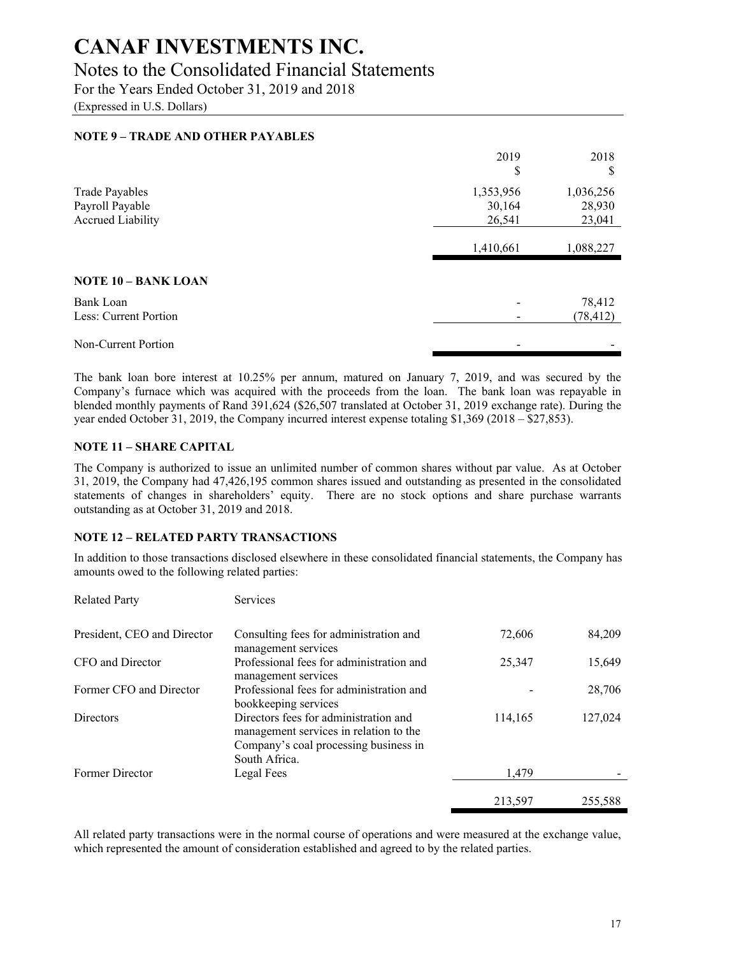## Notes to the Consolidated Financial Statements

For the Years Ended October 31, 2019 and 2018

(Expressed in U.S. Dollars)

## **NOTE 9 – TRADE AND OTHER PAYABLES**

|                                                                      | 2019<br>\$                    | 2018<br>S                     |
|----------------------------------------------------------------------|-------------------------------|-------------------------------|
| <b>Trade Payables</b><br>Payroll Payable<br><b>Accrued Liability</b> | 1,353,956<br>30,164<br>26,541 | 1,036,256<br>28,930<br>23,041 |
|                                                                      | 1,410,661                     | 1,088,227                     |
| <b>NOTE 10 - BANK LOAN</b>                                           |                               |                               |
| Bank Loan<br>Less: Current Portion                                   |                               | 78,412<br>(78, 412)           |
| Non-Current Portion                                                  |                               |                               |

The bank loan bore interest at 10.25% per annum, matured on January 7, 2019, and was secured by the Company's furnace which was acquired with the proceeds from the loan. The bank loan was repayable in blended monthly payments of Rand 391,624 (\$26,507 translated at October 31, 2019 exchange rate). During the year ended October 31, 2019, the Company incurred interest expense totaling \$1,369 (2018 – \$27,853).

### **NOTE 11 – SHARE CAPITAL**

The Company is authorized to issue an unlimited number of common shares without par value. As at October 31, 2019, the Company had 47,426,195 common shares issued and outstanding as presented in the consolidated statements of changes in shareholders' equity. There are no stock options and share purchase warrants outstanding as at October 31, 2019 and 2018.

## **NOTE 12 – RELATED PARTY TRANSACTIONS**

In addition to those transactions disclosed elsewhere in these consolidated financial statements, the Company has amounts owed to the following related parties:

| <b>Related Party</b>        | <b>Services</b>                                                                                                                           |         |         |
|-----------------------------|-------------------------------------------------------------------------------------------------------------------------------------------|---------|---------|
| President, CEO and Director | Consulting fees for administration and<br>management services                                                                             | 72,606  | 84,209  |
| CFO and Director            | Professional fees for administration and<br>management services                                                                           | 25,347  | 15,649  |
| Former CFO and Director     | Professional fees for administration and<br>bookkeeping services                                                                          |         | 28,706  |
| <b>Directors</b>            | Directors fees for administration and<br>management services in relation to the<br>Company's coal processing business in<br>South Africa. | 114,165 | 127,024 |
| Former Director             | Legal Fees                                                                                                                                | 1.479   |         |
|                             |                                                                                                                                           | 213,597 | 255,588 |

All related party transactions were in the normal course of operations and were measured at the exchange value, which represented the amount of consideration established and agreed to by the related parties.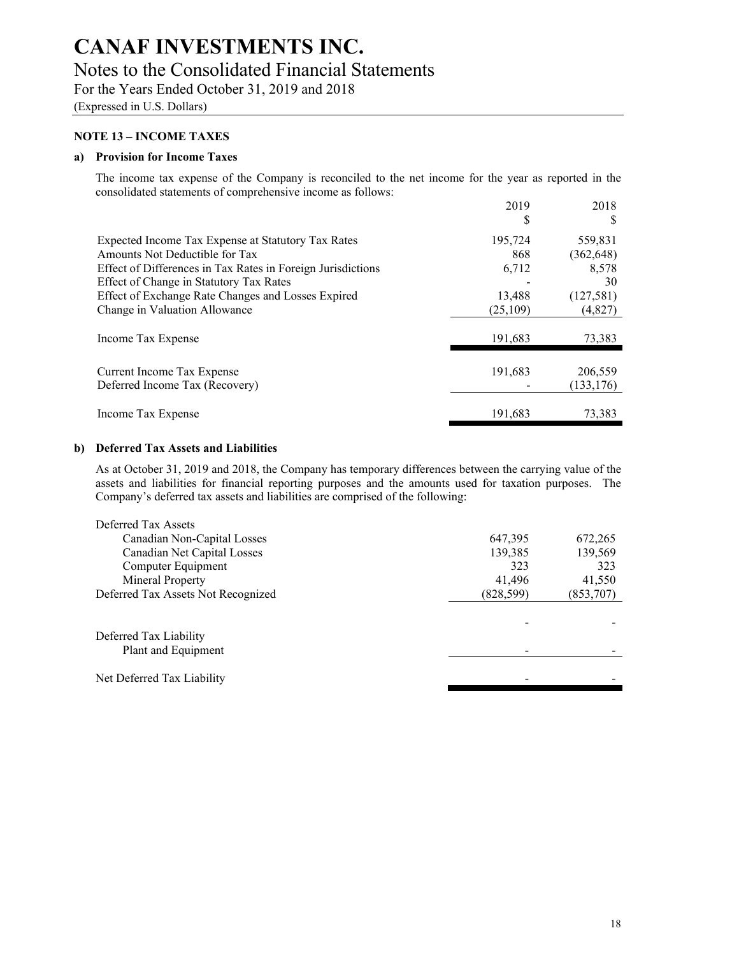# Notes to the Consolidated Financial Statements

For the Years Ended October 31, 2019 and 2018

(Expressed in U.S. Dollars)

### **NOTE 13 – INCOME TAXES**

#### **a) Provision for Income Taxes**

The income tax expense of the Company is reconciled to the net income for the year as reported in the consolidated statements of comprehensive income as follows:

|                                                             | 2019     | 2018       |
|-------------------------------------------------------------|----------|------------|
|                                                             | ъ        | S          |
| Expected Income Tax Expense at Statutory Tax Rates          | 195,724  | 559,831    |
| Amounts Not Deductible for Tax                              | 868      | (362, 648) |
| Effect of Differences in Tax Rates in Foreign Jurisdictions | 6,712    | 8,578      |
| Effect of Change in Statutory Tax Rates                     |          | 30         |
| Effect of Exchange Rate Changes and Losses Expired          | 13,488   | (127,581)  |
| Change in Valuation Allowance                               | (25,109) | (4, 827)   |
| Income Tax Expense                                          | 191,683  | 73,383     |
|                                                             |          |            |
| Current Income Tax Expense                                  | 191,683  | 206,559    |
| Deferred Income Tax (Recovery)                              |          | (133, 176) |
|                                                             |          |            |
| Income Tax Expense                                          | 191,683  | 73,383     |

#### **b) Deferred Tax Assets and Liabilities**

As at October 31, 2019 and 2018, the Company has temporary differences between the carrying value of the assets and liabilities for financial reporting purposes and the amounts used for taxation purposes. The Company's deferred tax assets and liabilities are comprised of the following:

| Deferred Tax Assets                |            |           |
|------------------------------------|------------|-----------|
| Canadian Non-Capital Losses        | 647,395    | 672,265   |
| Canadian Net Capital Losses        | 139,385    | 139,569   |
| Computer Equipment                 | 323        | 323       |
| Mineral Property                   | 41,496     | 41,550    |
| Deferred Tax Assets Not Recognized | (828, 599) | (853,707) |
|                                    |            |           |
|                                    |            |           |
| Deferred Tax Liability             |            |           |
| Plant and Equipment                |            |           |
|                                    |            |           |
| Net Deferred Tax Liability         |            |           |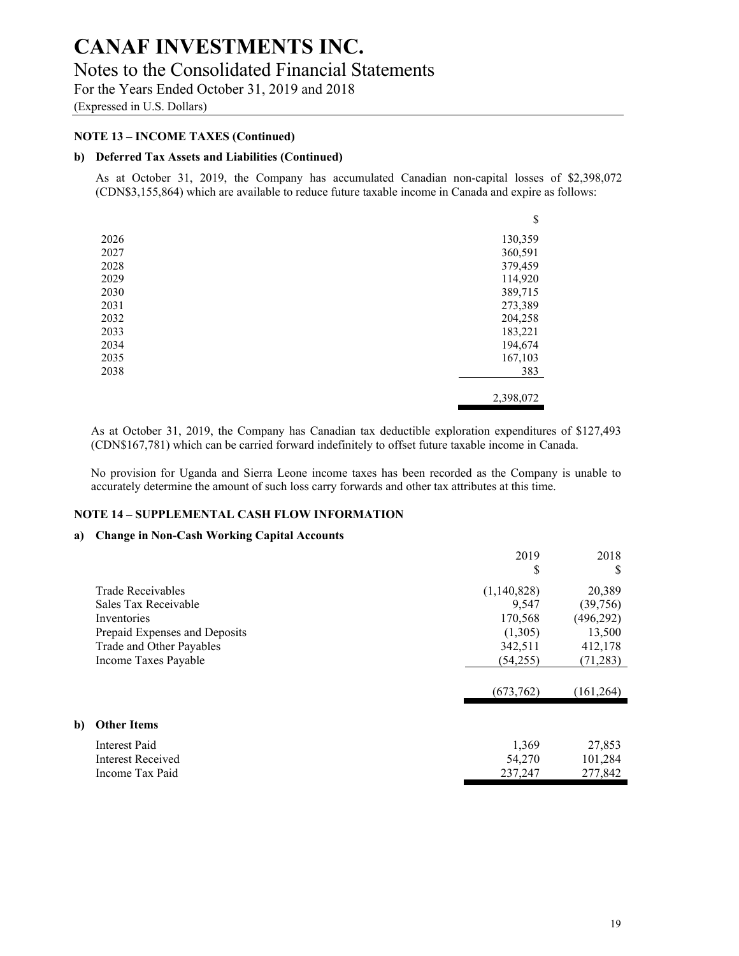## Notes to the Consolidated Financial Statements

For the Years Ended October 31, 2019 and 2018

(Expressed in U.S. Dollars)

## **NOTE 13 – INCOME TAXES (Continued)**

## **b) Deferred Tax Assets and Liabilities (Continued)**

As at October 31, 2019, the Company has accumulated Canadian non-capital losses of \$2,398,072 (CDN\$3,155,864) which are available to reduce future taxable income in Canada and expire as follows:

|      | \$        |
|------|-----------|
| 2026 | 130,359   |
| 2027 | 360,591   |
| 2028 | 379,459   |
| 2029 | 114,920   |
| 2030 | 389,715   |
| 2031 | 273,389   |
| 2032 | 204,258   |
| 2033 | 183,221   |
| 2034 | 194,674   |
| 2035 | 167,103   |
| 2038 | 383       |
|      | 2,398,072 |

As at October 31, 2019, the Company has Canadian tax deductible exploration expenditures of \$127,493 (CDN\$167,781) which can be carried forward indefinitely to offset future taxable income in Canada.

No provision for Uganda and Sierra Leone income taxes has been recorded as the Company is unable to accurately determine the amount of such loss carry forwards and other tax attributes at this time.

## **NOTE 14 – SUPPLEMENTAL CASH FLOW INFORMATION**

#### **a) Change in Non-Cash Working Capital Accounts**

**b**)

|                               | 2019        | 2018       |
|-------------------------------|-------------|------------|
|                               | \$          | S          |
| Trade Receivables             | (1,140,828) | 20,389     |
| Sales Tax Receivable          | 9,547       | (39,756)   |
| Inventories                   | 170,568     | (496, 292) |
| Prepaid Expenses and Deposits | (1,305)     | 13,500     |
| Trade and Other Payables      | 342,511     | 412,178    |
| Income Taxes Payable          | (54,255)    | (71, 283)  |
|                               | (673, 762)  | (161, 264) |
|                               |             |            |
| <b>Other Items</b>            |             |            |
| Interest Paid                 | 1,369       | 27,853     |
| Interest Received             | 54,270      | 101,284    |
| Income Tax Paid               | 237,247     | 277,842    |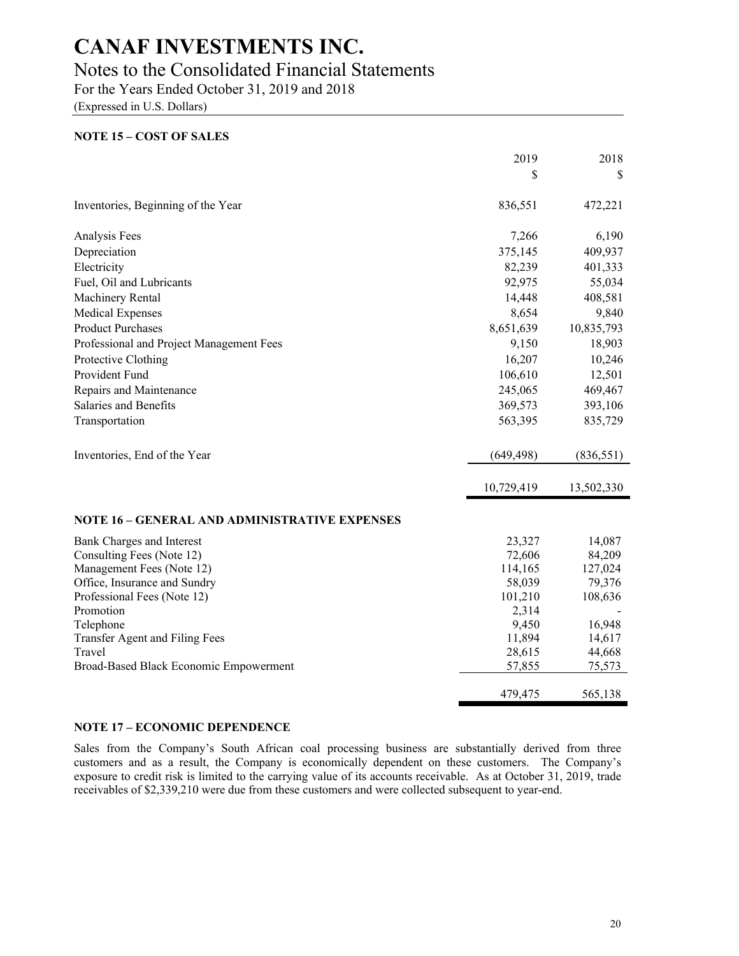## Notes to the Consolidated Financial Statements

For the Years Ended October 31, 2019 and 2018

(Expressed in U.S. Dollars)

## **NOTE 15 – COST OF SALES**

|                                               | 2019       | 2018       |
|-----------------------------------------------|------------|------------|
|                                               | \$         | \$         |
| Inventories, Beginning of the Year            | 836,551    | 472,221    |
| Analysis Fees                                 | 7,266      | 6,190      |
| Depreciation                                  | 375,145    | 409,937    |
| Electricity                                   | 82,239     | 401,333    |
| Fuel, Oil and Lubricants                      | 92,975     | 55,034     |
| Machinery Rental                              | 14,448     | 408,581    |
| Medical Expenses                              | 8,654      | 9,840      |
| <b>Product Purchases</b>                      | 8,651,639  | 10,835,793 |
| Professional and Project Management Fees      | 9,150      | 18,903     |
| Protective Clothing                           | 16,207     | 10,246     |
| Provident Fund                                | 106,610    | 12,501     |
| Repairs and Maintenance                       | 245,065    | 469,467    |
| Salaries and Benefits                         | 369,573    | 393,106    |
| Transportation                                | 563,395    | 835,729    |
| Inventories, End of the Year                  | (649, 498) | (836, 551) |
|                                               | 10,729,419 | 13,502,330 |
| NOTE 16 - GENERAL AND ADMINISTRATIVE EXPENSES |            |            |
| Bank Charges and Interest                     | 23,327     | 14,087     |
| Consulting Fees (Note 12)                     | 72,606     | 84,209     |
| Management Fees (Note 12)                     | 114,165    | 127,024    |
| Office, Insurance and Sundry                  | 58,039     | 79,376     |
| Professional Fees (Note 12)                   | 101,210    | 108,636    |
| Promotion                                     | 2,314      |            |
| Telephone                                     | 9,450      | 16,948     |
| Transfer Agent and Filing Fees                | 11,894     | 14,617     |
| Travel                                        | 28,615     | 44,668     |
| Broad-Based Black Economic Empowerment        | 57,855     | 75,573     |
|                                               | 479,475    | 565,138    |

#### **NOTE 17 – ECONOMIC DEPENDENCE**

Sales from the Company's South African coal processing business are substantially derived from three customers and as a result, the Company is economically dependent on these customers. The Company's exposure to credit risk is limited to the carrying value of its accounts receivable. As at October 31, 2019, trade receivables of \$2,339,210 were due from these customers and were collected subsequent to year-end.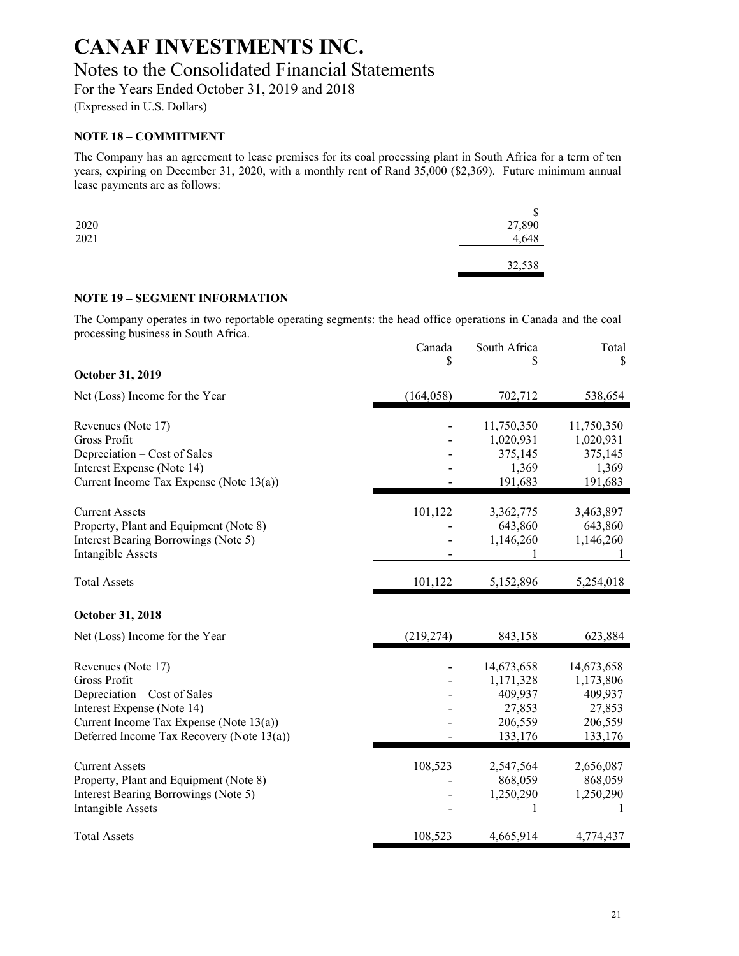# Notes to the Consolidated Financial Statements

For the Years Ended October 31, 2019 and 2018

(Expressed in U.S. Dollars)

## **NOTE 18 – COMMITMENT**

The Company has an agreement to lease premises for its coal processing plant in South Africa for a term of ten years, expiring on December 31, 2020, with a monthly rent of Rand 35,000 (\$2,369). Future minimum annual lease payments are as follows:

|                                             | \$                  |
|---------------------------------------------|---------------------|
| $\begin{array}{c} 2020 \\ 2021 \end{array}$ |                     |
|                                             | $27,890$<br>$4,648$ |
|                                             |                     |
|                                             | 32,538              |
|                                             |                     |

## **NOTE 19 – SEGMENT INFORMATION**

The Company operates in two reportable operating segments: the head office operations in Canada and the coal processing business in South Africa.

| \$<br>S<br>October 31, 2019<br>702,712<br>Net (Loss) Income for the Year<br>(164, 058)<br>Revenues (Note 17)<br>11,750,350<br>Gross Profit<br>1,020,931<br>Depreciation - Cost of Sales<br>375,145<br>Interest Expense (Note 14)<br>1,369<br>191,683<br>Current Income Tax Expense (Note $13(a)$ )<br><b>Current Assets</b><br>101,122<br>3,362,775<br>Property, Plant and Equipment (Note 8)<br>643,860<br>Interest Bearing Borrowings (Note 5)<br>1,146,260<br><b>Intangible Assets</b> | S          |
|-------------------------------------------------------------------------------------------------------------------------------------------------------------------------------------------------------------------------------------------------------------------------------------------------------------------------------------------------------------------------------------------------------------------------------------------------------------------------------------------|------------|
|                                                                                                                                                                                                                                                                                                                                                                                                                                                                                           |            |
|                                                                                                                                                                                                                                                                                                                                                                                                                                                                                           | 538,654    |
|                                                                                                                                                                                                                                                                                                                                                                                                                                                                                           | 11,750,350 |
|                                                                                                                                                                                                                                                                                                                                                                                                                                                                                           | 1,020,931  |
|                                                                                                                                                                                                                                                                                                                                                                                                                                                                                           | 375,145    |
|                                                                                                                                                                                                                                                                                                                                                                                                                                                                                           | 1,369      |
|                                                                                                                                                                                                                                                                                                                                                                                                                                                                                           | 191,683    |
|                                                                                                                                                                                                                                                                                                                                                                                                                                                                                           | 3,463,897  |
|                                                                                                                                                                                                                                                                                                                                                                                                                                                                                           | 643,860    |
|                                                                                                                                                                                                                                                                                                                                                                                                                                                                                           | 1,146,260  |
| <b>Total Assets</b><br>101,122<br>5,152,896                                                                                                                                                                                                                                                                                                                                                                                                                                               | 5,254,018  |
| <b>October 31, 2018</b>                                                                                                                                                                                                                                                                                                                                                                                                                                                                   |            |
| Net (Loss) Income for the Year<br>(219, 274)<br>843,158                                                                                                                                                                                                                                                                                                                                                                                                                                   | 623,884    |
| Revenues (Note 17)<br>14,673,658                                                                                                                                                                                                                                                                                                                                                                                                                                                          | 14,673,658 |
| Gross Profit<br>1,171,328                                                                                                                                                                                                                                                                                                                                                                                                                                                                 | 1,173,806  |
| Depreciation – Cost of Sales<br>409,937                                                                                                                                                                                                                                                                                                                                                                                                                                                   | 409,937    |
| Interest Expense (Note 14)<br>27,853                                                                                                                                                                                                                                                                                                                                                                                                                                                      | 27,853     |
| Current Income Tax Expense (Note $13(a)$ )<br>206,559                                                                                                                                                                                                                                                                                                                                                                                                                                     | 206,559    |
| Deferred Income Tax Recovery (Note 13(a))<br>133,176                                                                                                                                                                                                                                                                                                                                                                                                                                      | 133,176    |
| 108,523<br><b>Current Assets</b><br>2,547,564                                                                                                                                                                                                                                                                                                                                                                                                                                             | 2,656,087  |
| Property, Plant and Equipment (Note 8)<br>868,059                                                                                                                                                                                                                                                                                                                                                                                                                                         | 868,059    |
| 1,250,290<br>Interest Bearing Borrowings (Note 5)<br><b>Intangible Assets</b>                                                                                                                                                                                                                                                                                                                                                                                                             | 1,250,290  |
| 108,523<br>4,665,914<br><b>Total Assets</b>                                                                                                                                                                                                                                                                                                                                                                                                                                               | 4,774,437  |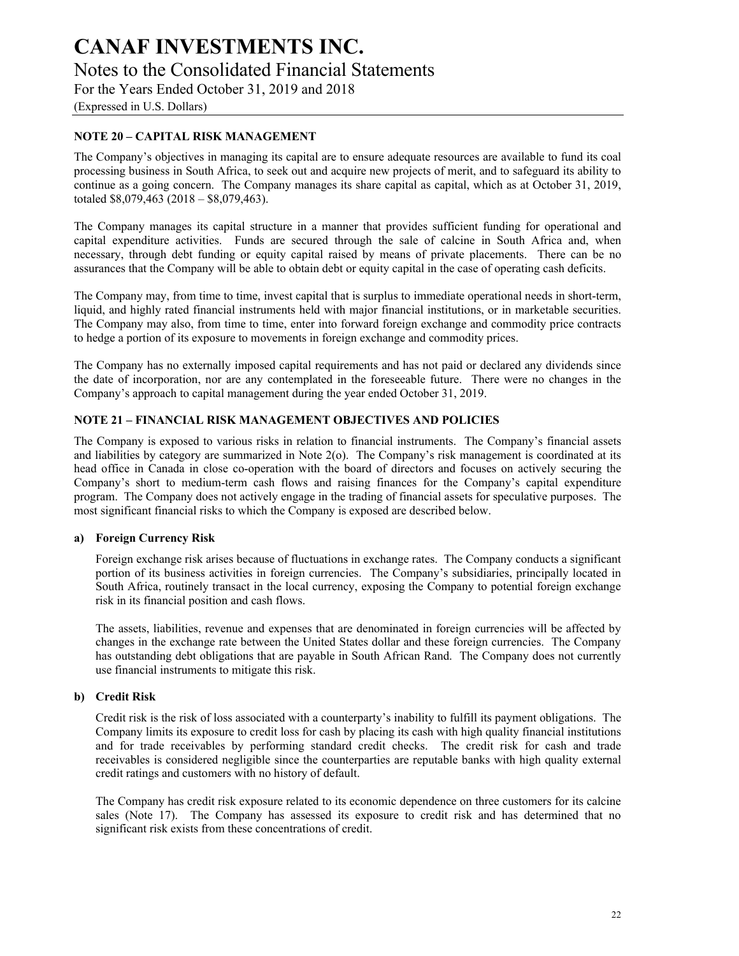# **CANAF INVESTMENTS INC.**  Notes to the Consolidated Financial Statements

For the Years Ended October 31, 2019 and 2018

(Expressed in U.S. Dollars)

## **NOTE 20 – CAPITAL RISK MANAGEMENT**

The Company's objectives in managing its capital are to ensure adequate resources are available to fund its coal processing business in South Africa, to seek out and acquire new projects of merit, and to safeguard its ability to continue as a going concern. The Company manages its share capital as capital, which as at October 31, 2019, totaled \$8,079,463 (2018 – \$8,079,463).

The Company manages its capital structure in a manner that provides sufficient funding for operational and capital expenditure activities. Funds are secured through the sale of calcine in South Africa and, when necessary, through debt funding or equity capital raised by means of private placements. There can be no assurances that the Company will be able to obtain debt or equity capital in the case of operating cash deficits.

The Company may, from time to time, invest capital that is surplus to immediate operational needs in short-term, liquid, and highly rated financial instruments held with major financial institutions, or in marketable securities. The Company may also, from time to time, enter into forward foreign exchange and commodity price contracts to hedge a portion of its exposure to movements in foreign exchange and commodity prices.

The Company has no externally imposed capital requirements and has not paid or declared any dividends since the date of incorporation, nor are any contemplated in the foreseeable future. There were no changes in the Company's approach to capital management during the year ended October 31, 2019.

## **NOTE 21 – FINANCIAL RISK MANAGEMENT OBJECTIVES AND POLICIES**

The Company is exposed to various risks in relation to financial instruments. The Company's financial assets and liabilities by category are summarized in Note 2(o). The Company's risk management is coordinated at its head office in Canada in close co-operation with the board of directors and focuses on actively securing the Company's short to medium-term cash flows and raising finances for the Company's capital expenditure program. The Company does not actively engage in the trading of financial assets for speculative purposes. The most significant financial risks to which the Company is exposed are described below.

#### **a) Foreign Currency Risk**

Foreign exchange risk arises because of fluctuations in exchange rates. The Company conducts a significant portion of its business activities in foreign currencies. The Company's subsidiaries, principally located in South Africa, routinely transact in the local currency, exposing the Company to potential foreign exchange risk in its financial position and cash flows.

The assets, liabilities, revenue and expenses that are denominated in foreign currencies will be affected by changes in the exchange rate between the United States dollar and these foreign currencies. The Company has outstanding debt obligations that are payable in South African Rand. The Company does not currently use financial instruments to mitigate this risk.

#### **b) Credit Risk**

Credit risk is the risk of loss associated with a counterparty's inability to fulfill its payment obligations. The Company limits its exposure to credit loss for cash by placing its cash with high quality financial institutions and for trade receivables by performing standard credit checks. The credit risk for cash and trade receivables is considered negligible since the counterparties are reputable banks with high quality external credit ratings and customers with no history of default.

The Company has credit risk exposure related to its economic dependence on three customers for its calcine sales (Note 17). The Company has assessed its exposure to credit risk and has determined that no significant risk exists from these concentrations of credit.